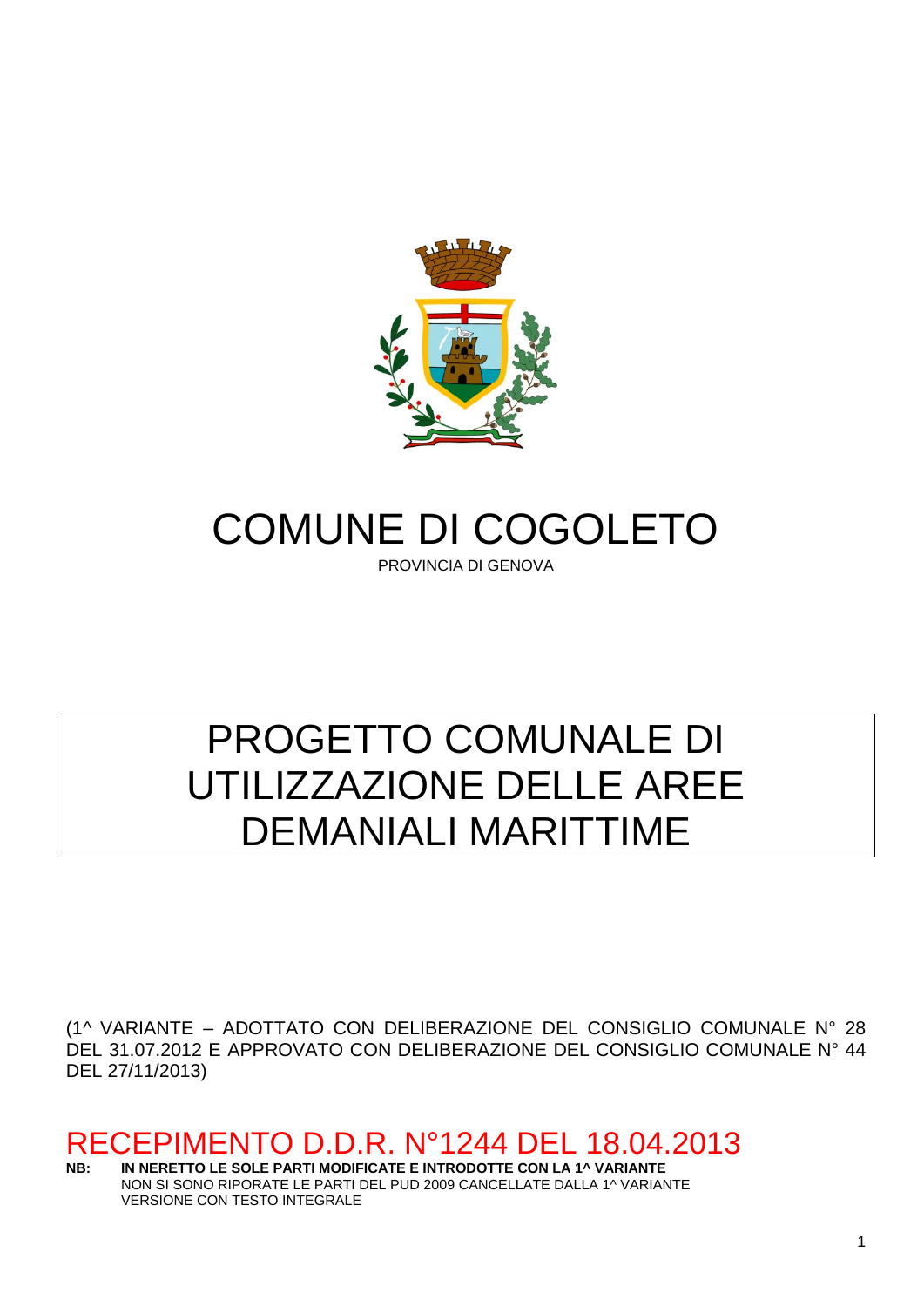

# COMUNE DI COGOLETO

PROVINCIA DI GENOVA

# PROGETTO COMUNALE DI UTILIZZAZIONE DELLE AREE DEMANIALI MARITTIME

(1^ VARIANTE – ADOTTATO CON DELIBERAZIONE DEL CONSIGLIO COMUNALE N° 28 DEL 31.07.2012 E APPROVATO CON DELIBERAZIONE DEL CONSIGLIO COMUNALE N° 44 DEL 27/11/2013)

# RECEPIMENTO D.D.R. N°1244 DEL 18.04.2013<br>NB: IN NERETTO LE SOLE PARTI MODIFICATE E INTRODOTTE CON LA 1^ VARIANTE

**NB: IN NERETTO LE SOLE PARTI MODIFICATE E INTRODOTTE CON LA 1^ VARIANTE** NON SI SONO RIPORATE LE PARTI DEL PUD 2009 CANCELLATE DALLA 1^ VARIANTE VERSIONE CON TESTO INTEGRALE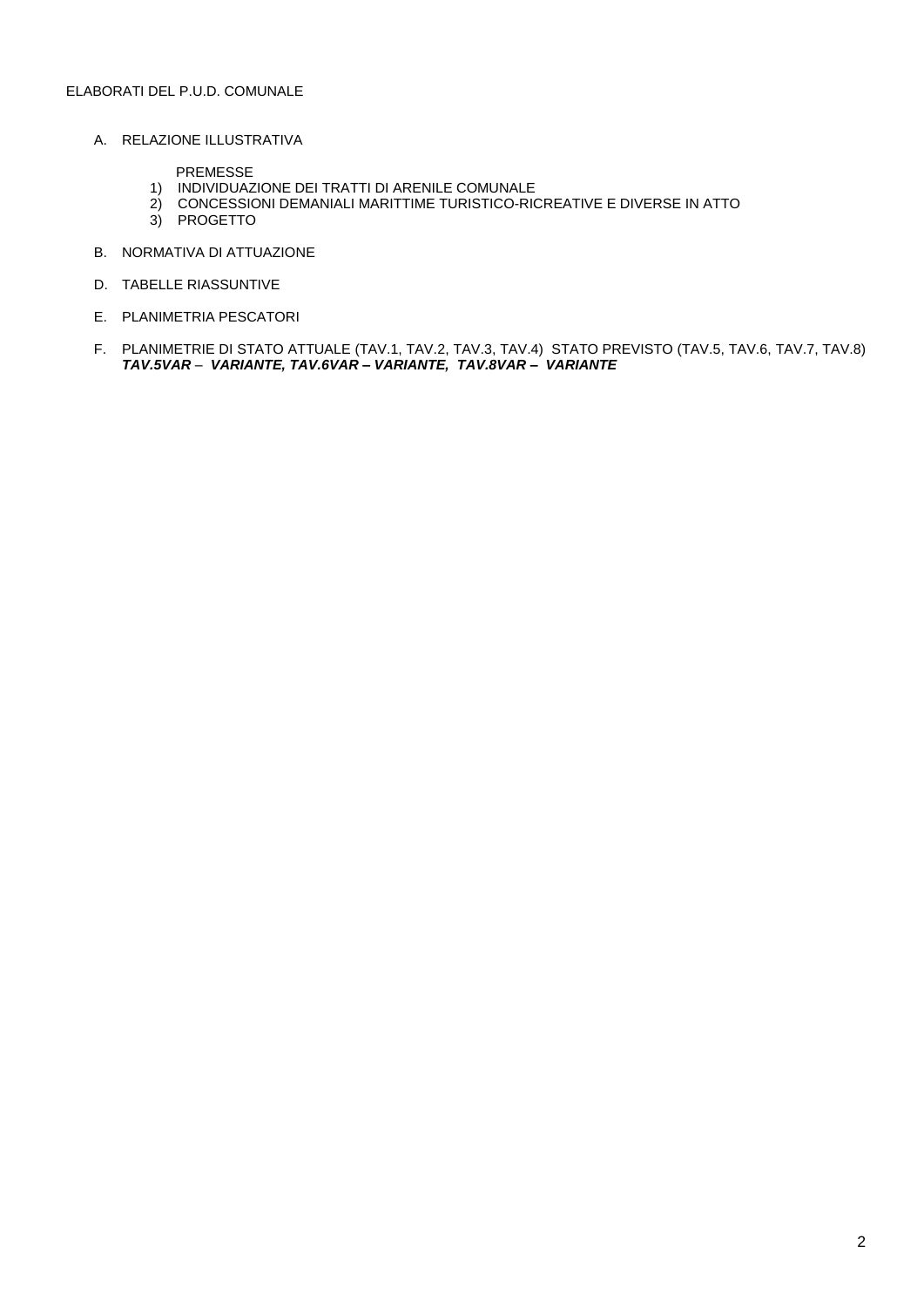#### ELABORATI DEL P.U.D. COMUNALE

A. RELAZIONE ILLUSTRATIVA

PREMESSE

- 1) INDIVIDUAZIONE DEI TRATTI DI ARENILE COMUNALE
- 2) CONCESSIONI DEMANIALI MARITTIME TURISTICO-RICREATIVE E DIVERSE IN ATTO
- 3) PROGETTO
- B. NORMATIVA DI ATTUAZIONE
- D. TABELLE RIASSUNTIVE
- E. PLANIMETRIA PESCATORI
- F. PLANIMETRIE DI STATO ATTUALE (TAV.1, TAV.2, TAV.3, TAV.4) STATO PREVISTO (TAV.5, TAV.6, TAV.7, TAV.8) *TAV.5VAR – VARIANTE, TAV.6VAR – VARIANTE, TAV.8VAR – VARIANTE*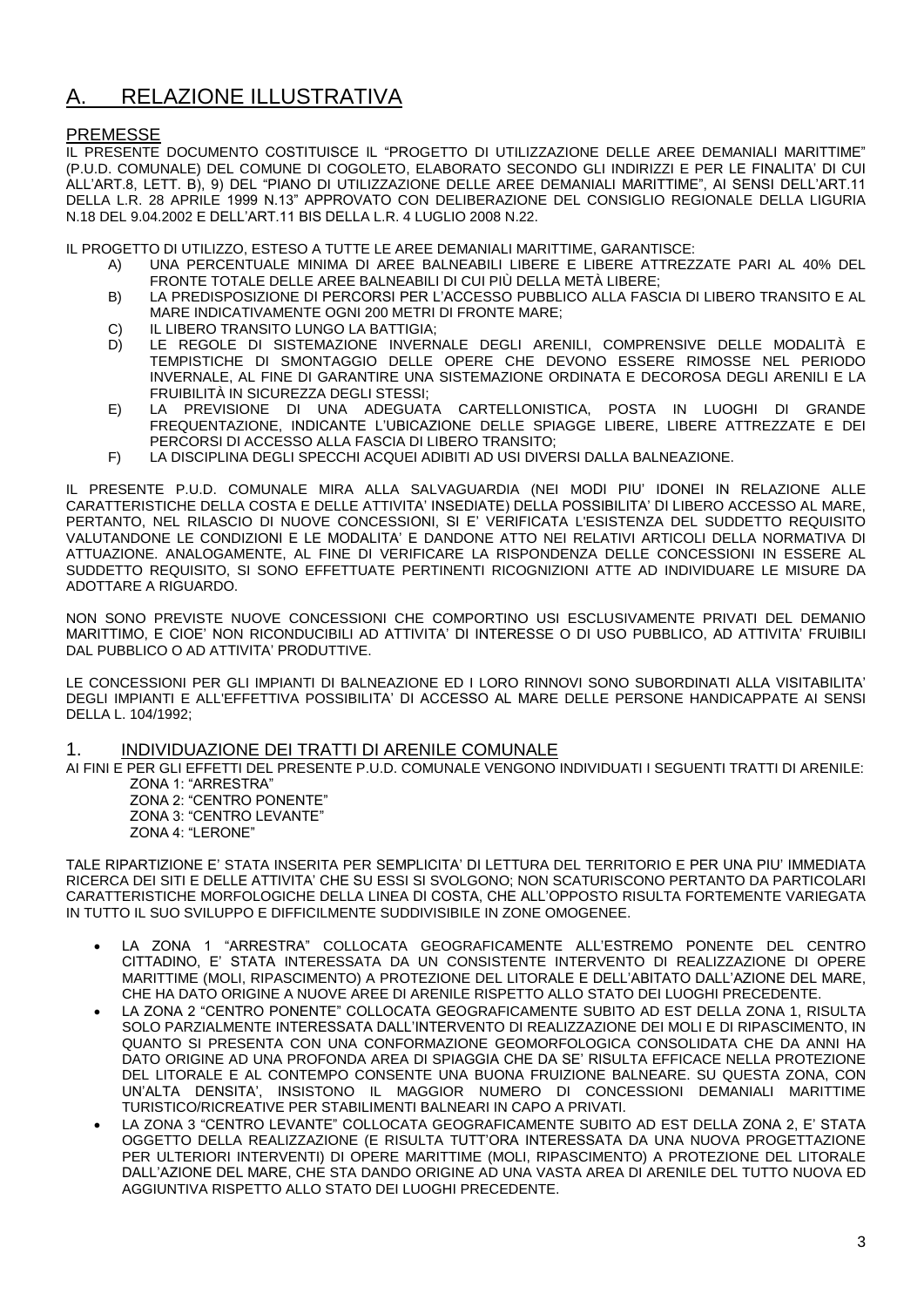# A. RELAZIONE ILLUSTRATIVA

# PREMESSE

IL PRESENTE DOCUMENTO COSTITUISCE IL "PROGETTO DI UTILIZZAZIONE DELLE AREE DEMANIALI MARITTIME" (P.U.D. COMUNALE) DEL COMUNE DI COGOLETO, ELABORATO SECONDO GLI INDIRIZZI E PER LE FINALITA' DI CUI ALL'ART.8, LETT. B), 9) DEL "PIANO DI UTILIZZAZIONE DELLE AREE DEMANIALI MARITTIME", AI SENSI DELL'ART.11 DELLA L.R. 28 APRILE 1999 N.13" APPROVATO CON DELIBERAZIONE DEL CONSIGLIO REGIONALE DELLA LIGURIA N.18 DEL 9.04.2002 E DELL'ART.11 BIS DELLA L.R. 4 LUGLIO 2008 N.22.

IL PROGETTO DI UTILIZZO, ESTESO A TUTTE LE AREE DEMANIALI MARITTIME, GARANTISCE:

- A) UNA PERCENTUALE MINIMA DI AREE BALNEABILI LIBERE E LIBERE ATTREZZATE PARI AL 40% DEL FRONTE TOTALE DELLE AREE BALNEABILI DI CUI PIÙ DELLA METÀ LIBERE;
- B) LA PREDISPOSIZIONE DI PERCORSI PER L'ACCESSO PUBBLICO ALLA FASCIA DI LIBERO TRANSITO E AL MARE INDICATIVAMENTE OGNI 200 METRI DI FRONTE MARE;
- C) IL LIBERO TRANSITO LUNGO LA BATTIGIA;
- D) LE REGOLE DI SISTEMAZIONE INVERNALE DEGLI ARENILI, COMPRENSIVE DELLE MODALITÀ E TEMPISTICHE DI SMONTAGGIO DELLE OPERE CHE DEVONO ESSERE RIMOSSE NEL PERIODO INVERNALE, AL FINE DI GARANTIRE UNA SISTEMAZIONE ORDINATA E DECOROSA DEGLI ARENILI E LA FRUIBILITÀ IN SICUREZZA DEGLI STESSI;
- E) LA PREVISIONE DI UNA ADEGUATA CARTELLONISTICA, POSTA IN LUOGHI DI GRANDE FREQUENTAZIONE, INDICANTE L'UBICAZIONE DELLE SPIAGGE LIBERE, LIBERE ATTREZZATE E DEI PERCORSI DI ACCESSO ALLA FASCIA DI LIBERO TRANSITO;
- F) LA DISCIPLINA DEGLI SPECCHI ACQUEI ADIBITI AD USI DIVERSI DALLA BALNEAZIONE.

IL PRESENTE P.U.D. COMUNALE MIRA ALLA SALVAGUARDIA (NEI MODI PIU' IDONEI IN RELAZIONE ALLE CARATTERISTICHE DELLA COSTA E DELLE ATTIVITA' INSEDIATE) DELLA POSSIBILITA' DI LIBERO ACCESSO AL MARE, PERTANTO, NEL RILASCIO DI NUOVE CONCESSIONI, SI E' VERIFICATA L'ESISTENZA DEL SUDDETTO REQUISITO VALUTANDONE LE CONDIZIONI E LE MODALITA' E DANDONE ATTO NEI RELATIVI ARTICOLI DELLA NORMATIVA DI ATTUAZIONE. ANALOGAMENTE, AL FINE DI VERIFICARE LA RISPONDENZA DELLE CONCESSIONI IN ESSERE AL SUDDETTO REQUISITO, SI SONO EFFETTUATE PERTINENTI RICOGNIZIONI ATTE AD INDIVIDUARE LE MISURE DA ADOTTARE A RIGUARDO.

NON SONO PREVISTE NUOVE CONCESSIONI CHE COMPORTINO USI ESCLUSIVAMENTE PRIVATI DEL DEMANIO MARITTIMO, E CIOE' NON RICONDUCIBILI AD ATTIVITA' DI INTERESSE O DI USO PUBBLICO, AD ATTIVITA' FRUIBILI DAL PUBBLICO O AD ATTIVITA' PRODUTTIVE.

LE CONCESSIONI PER GLI IMPIANTI DI BALNEAZIONE ED I LORO RINNOVI SONO SUBORDINATI ALLA VISITABILITA' DEGLI IMPIANTI E ALL'EFFETTIVA POSSIBILITA' DI ACCESSO AL MARE DELLE PERSONE HANDICAPPATE AI SENSI DELLA L. 104/1992;

#### 1. INDIVIDUAZIONE DEI TRATTI DI ARENILE COMUNALE

AI FINI E PER GLI EFFETTI DEL PRESENTE P.U.D. COMUNALE VENGONO INDIVIDUATI I SEGUENTI TRATTI DI ARENILE: ZONA 1: "ARRESTRA"

ZONA 2: "CENTRO PONENTE" ZONA 3: "CENTRO LEVANTE" ZONA 4: "LERONE"

TALE RIPARTIZIONE E' STATA INSERITA PER SEMPLICITA' DI LETTURA DEL TERRITORIO E PER UNA PIU' IMMEDIATA RICERCA DEI SITI E DELLE ATTIVITA' CHE SU ESSI SI SVOLGONO; NON SCATURISCONO PERTANTO DA PARTICOLARI CARATTERISTICHE MORFOLOGICHE DELLA LINEA DI COSTA, CHE ALL'OPPOSTO RISULTA FORTEMENTE VARIEGATA IN TUTTO IL SUO SVILUPPO E DIFFICILMENTE SUDDIVISIBILE IN ZONE OMOGENEE.

- LA ZONA 1 "ARRESTRA" COLLOCATA GEOGRAFICAMENTE ALL'ESTREMO PONENTE DEL CENTRO CITTADINO, E' STATA INTERESSATA DA UN CONSISTENTE INTERVENTO DI REALIZZAZIONE DI OPERE MARITTIME (MOLI, RIPASCIMENTO) A PROTEZIONE DEL LITORALE E DELL'ABITATO DALL'AZIONE DEL MARE, CHE HA DATO ORIGINE A NUOVE AREE DI ARENILE RISPETTO ALLO STATO DEI LUOGHI PRECEDENTE.
- LA ZONA 2 "CENTRO PONENTE" COLLOCATA GEOGRAFICAMENTE SUBITO AD EST DELLA ZONA 1, RISULTA SOLO PARZIALMENTE INTERESSATA DALL'INTERVENTO DI REALIZZAZIONE DEI MOLI E DI RIPASCIMENTO, IN QUANTO SI PRESENTA CON UNA CONFORMAZIONE GEOMORFOLOGICA CONSOLIDATA CHE DA ANNI HA DATO ORIGINE AD UNA PROFONDA AREA DI SPIAGGIA CHE DA SE' RISULTA EFFICACE NELLA PROTEZIONE DEL LITORALE E AL CONTEMPO CONSENTE UNA BUONA FRUIZIONE BALNEARE. SU QUESTA ZONA, CON UN'ALTA DENSITA', INSISTONO IL MAGGIOR NUMERO DI CONCESSIONI DEMANIALI MARITTIME TURISTICO/RICREATIVE PER STABILIMENTI BALNEARI IN CAPO A PRIVATI.
- LA ZONA 3 "CENTRO LEVANTE" COLLOCATA GEOGRAFICAMENTE SUBITO AD EST DELLA ZONA 2, E' STATA OGGETTO DELLA REALIZZAZIONE (E RISULTA TUTT'ORA INTERESSATA DA UNA NUOVA PROGETTAZIONE PER ULTERIORI INTERVENTI) DI OPERE MARITTIME (MOLI, RIPASCIMENTO) A PROTEZIONE DEL LITORALE DALL'AZIONE DEL MARE, CHE STA DANDO ORIGINE AD UNA VASTA AREA DI ARENILE DEL TUTTO NUOVA ED AGGIUNTIVA RISPETTO ALLO STATO DEI LUOGHI PRECEDENTE.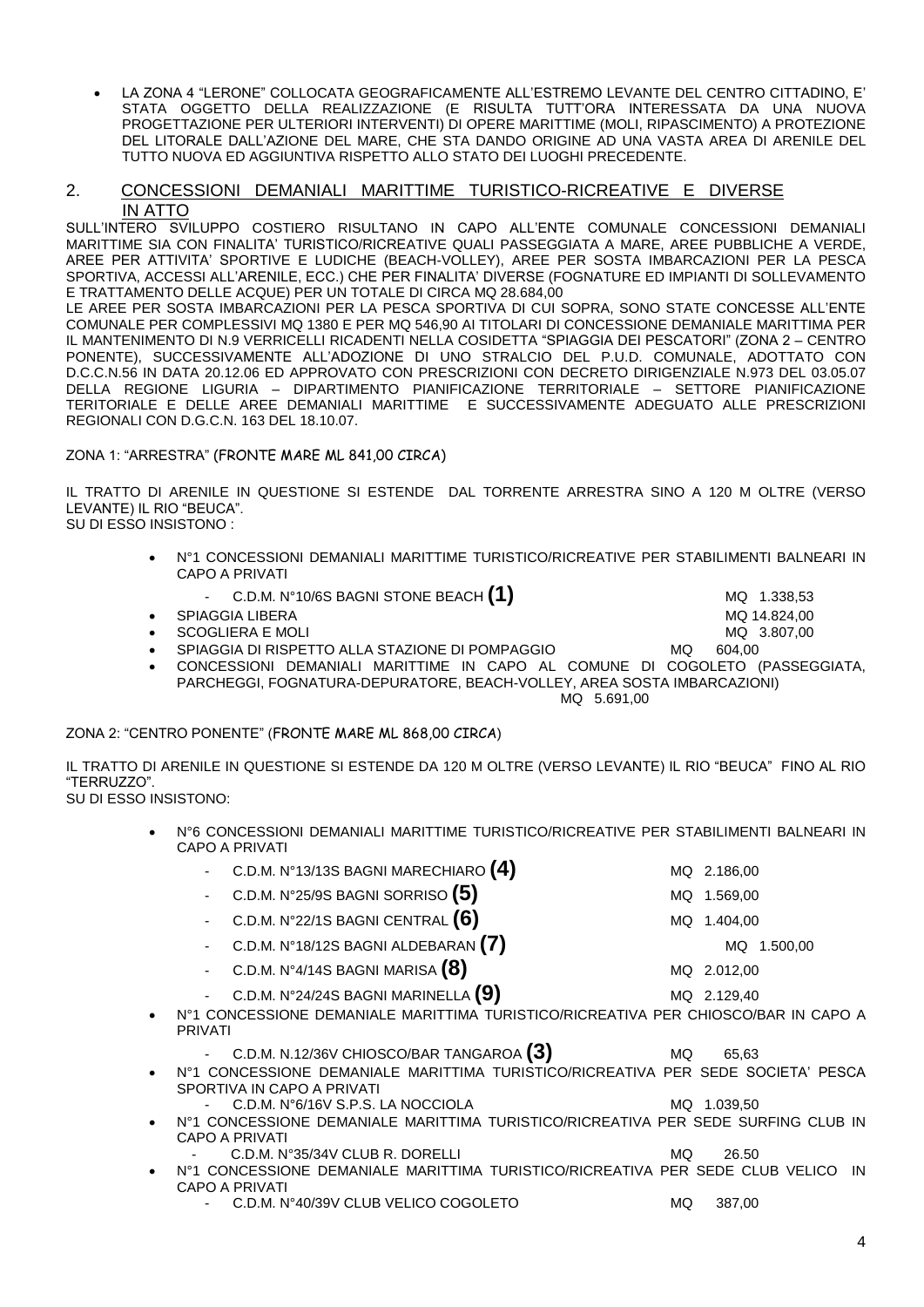LA ZONA 4 "LERONE" COLLOCATA GEOGRAFICAMENTE ALL'ESTREMO LEVANTE DEL CENTRO CITTADINO, E' STATA OGGETTO DELLA REALIZZAZIONE (E RISULTA TUTT'ORA INTERESSATA DA UNA NUOVA PROGETTAZIONE PER ULTERIORI INTERVENTI) DI OPERE MARITTIME (MOLI, RIPASCIMENTO) A PROTEZIONE DEL LITORALE DALL'AZIONE DEL MARE, CHE STA DANDO ORIGINE AD UNA VASTA AREA DI ARENILE DEL TUTTO NUOVA ED AGGIUNTIVA RISPETTO ALLO STATO DEI LUOGHI PRECEDENTE.

## 2. CONCESSIONI DEMANIALI MARITTIME TURISTICO-RICREATIVE E DIVERSE IN ATTO

SULL'INTERO SVILUPPO COSTIERO RISULTANO IN CAPO ALL'ENTE COMUNALE CONCESSIONI DEMANIALI MARITTIME SIA CON FINALITA' TURISTICO/RICREATIVE QUALI PASSEGGIATA A MARE, AREE PUBBLICHE A VERDE, AREE PER ATTIVITA' SPORTIVE E LUDICHE (BEACH-VOLLEY), AREE PER SOSTA IMBARCAZIONI PER LA PESCA SPORTIVA, ACCESSI ALL'ARENILE, ECC.) CHE PER FINALITA' DIVERSE (FOGNATURE ED IMPIANTI DI SOLLEVAMENTO E TRATTAMENTO DELLE ACQUE) PER UN TOTALE DI CIRCA MQ 28.684,00

LE AREE PER SOSTA IMBARCAZIONI PER LA PESCA SPORTIVA DI CUI SOPRA, SONO STATE CONCESSE ALL'ENTE COMUNALE PER COMPLESSIVI MQ 1380 E PER MQ 546,90 AI TITOLARI DI CONCESSIONE DEMANIALE MARITTIMA PER IL MANTENIMENTO DI N.9 VERRICELLI RICADENTI NELLA COSIDETTA "SPIAGGIA DEI PESCATORI" (ZONA 2 – CENTRO PONENTE), SUCCESSIVAMENTE ALL'ADOZIONE DI UNO STRALCIO DEL P.U.D. COMUNALE, ADOTTATO CON D.C.C.N.56 IN DATA 20.12.06 ED APPROVATO CON PRESCRIZIONI CON DECRETO DIRIGENZIALE N.973 DEL 03.05.07 DELLA REGIONE LIGURIA – DIPARTIMENTO PIANIFICAZIONE TERRITORIALE – SETTORE PIANIFICAZIONE TERITORIALE E DELLE AREE DEMANIALI MARITTIME E SUCCESSIVAMENTE ADEGUATO ALLE PRESCRIZIONI REGIONALI CON D.G.C.N. 163 DEL 18.10.07.

ZONA 1: "ARRESTRA" (FRONTE MARE ML 841,00 CIRCA)

IL TRATTO DI ARENILE IN QUESTIONE SI ESTENDE DAL TORRENTE ARRESTRA SINO A 120 M OLTRE (VERSO LEVANTE) IL RIO "BEUCA". SU DI ESSO INSISTONO :

 N°1 CONCESSIONI DEMANIALI MARITTIME TURISTICO/RICREATIVE PER STABILIMENTI BALNEARI IN CAPO A PRIVATI

C.D.M. N°10/6S BAGNI STONE BEACH (1) MQ 1.338,53

- SPIAGGIA LIBERA MQ 14.824,00
- SCOGLIERA E MOLI CONTRACTED AND THE SCOGLIERA E MOLI
	- SPIAGGIA DI RISPETTO ALLA STAZIONE DI POMPAGGIO MO 604,00
- CONCESSIONI DEMANIALI MARITTIME IN CAPO AL COMUNE DI COGOLETO (PASSEGGIATA, PARCHEGGI, FOGNATURA-DEPURATORE, BEACH-VOLLEY, AREA SOSTA IMBARCAZIONI)

MQ 5.691,00

# ZONA 2: "CENTRO PONENTE" (FRONTE MARE ML 868,00 CIRCA)

IL TRATTO DI ARENILE IN QUESTIONE SI ESTENDE DA 120 M OLTRE (VERSO LEVANTE) IL RIO "BEUCA" FINO AL RIO "TERRUZZO". SU DI ESSO INSISTONO:

 N°6 CONCESSIONI DEMANIALI MARITTIME TURISTICO/RICREATIVE PER STABILIMENTI BALNEARI IN CAPO A PRIVATI

|           | C.D.M. N°13/13S BAGNI MARECHIARO $\bm{(4)}$<br>$\omega_{\rm{eff}}$                                             |    | MQ 2.186,00     |
|-----------|----------------------------------------------------------------------------------------------------------------|----|-----------------|
|           | C.D.M. N°25/9S BAGNI SORRISO $(5)$                                                                             |    | MQ 1.569,00     |
|           | C.D.M. N°22/1S BAGNI CENTRAL $\bm{(6)}$                                                                        |    | MQ 1.404,00     |
|           | C.D.M. N°18/12S BAGNI ALDEBARAN $(7)$                                                                          |    | 1.500,00<br>MQ. |
|           | C.D.M. N°4/14S BAGNI MARISA $(8)$<br>$\blacksquare$                                                            |    | MQ 2.012,00     |
|           | C.D.M. N°24/24S BAGNI MARINELLA $\left( 9\right)$                                                              |    | MQ 2.129,40     |
| $\bullet$ | N°1 CONCESSIONE DEMANIALE MARITTIMA TURISTICO/RICREATIVA PER CHIOSCO/BAR IN CAPO A<br><b>PRIVATI</b>           |    |                 |
|           | C.D.M. N.12/36V CHIOSCO/BAR TANGAROA (3)                                                                       | MQ | 65.63           |
| $\bullet$ | N°1 CONCESSIONE DEMANIALE MARITTIMA TURISTICO/RICREATIVA PER SEDE SOCIETA' PESCA<br>SPORTIVA IN CAPO A PRIVATI |    |                 |
|           | C.D.M. N°6/16V S.P.S. LA NOCCIOLA                                                                              | MQ | 1.039.50        |
|           |                                                                                                                |    |                 |

- N°1 CONCESSIONE DEMANIALE MARITTIMA TURISTICO/RICREATIVA PER SEDE SURFING CLUB IN CAPO A PRIVATI
	- C.D.M. N°35/34V CLUB R. DORELLI MQ 26.50
- N°1 CONCESSIONE DEMANIALE MARITTIMA TURISTICO/RICREATIVA PER SEDE CLUB VELICO IN CAPO A PRIVATI
	- C.D.M. N°40/39V CLUB VELICO COGOLETO MQ 387,00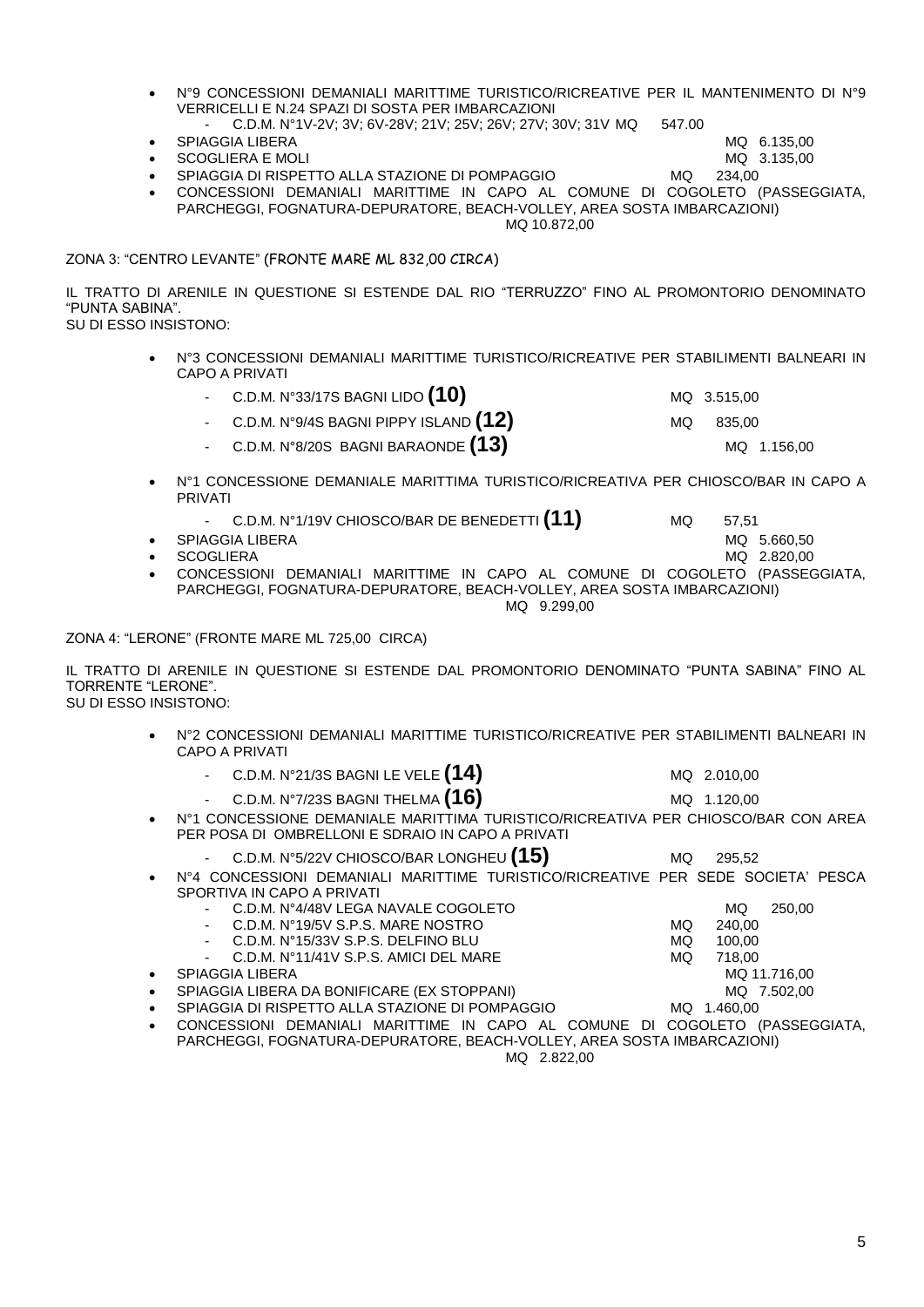- C.D.M. N°1V-2V; 3V; 6V-28V; 21V; 25V; 26V; 27V; 30V; 31V MQ 547.00 SPIAGGIA LIBERA MQ 6.135,00
- 
- 
- SCOGLIERA E MOLI CHARGE AND A SANTO A CHARGE AND A SANTO A MAIN AND A SANTO A SANTO A MAIN AND A SANTO A MAIN SPIAGGIA DI RISPETTO ALLA STAZIONE DI POMPAGGIO MQ 234.00
- CONCESSIONI DEMANIALI MARITTIME IN CAPO AL COMUNE DI COGOLETO (PASSEGGIATA, PARCHEGGI, FOGNATURA-DEPURATORE, BEACH-VOLLEY, AREA SOSTA IMBARCAZIONI) MQ 10.872,00

ZONA 3: "CENTRO LEVANTE" (FRONTE MARE ML 832,00 CIRCA)

IL TRATTO DI ARENILE IN QUESTIONE SI ESTENDE DAL RIO "TERRUZZO" FINO AL PROMONTORIO DENOMINATO "PUNTA SABINA".

SU DI ESSO INSISTONO:

- N°3 CONCESSIONI DEMANIALI MARITTIME TURISTICO/RICREATIVE PER STABILIMENTI BALNEARI IN CAPO A PRIVATI
	- C.D.M. N°33/17S BAGNI LIDO **(10)** MQ 3.515,00
	- C.D.M. N°9/4S BAGNI PIPPY ISLAND **(12)** MQ 835,00
	- C.D.M. N°8/20S BAGNI BARAONDE **(13)** MQ 1.156,00
- N°1 CONCESSIONE DEMANIALE MARITTIMA TURISTICO/RICREATIVA PER CHIOSCO/BAR IN CAPO A PRIVATI
	- C.D.M. N°1/19V CHIOSCO/BAR DE BENEDETTI **(11)** MQ 57,51 SPIAGGIA LIBERA MQ 5.660.50
- 
- SCOGLIERA MQ 2.820.00 CONCESSIONI DEMANIALI MARITTIME IN CAPO AL COMUNE DI COGOLETO (PASSEGGIATA, PARCHEGGI, FOGNATURA-DEPURATORE, BEACH-VOLLEY, AREA SOSTA IMBARCAZIONI)
	- MQ 9.299,00

ZONA 4: "LERONE" (FRONTE MARE ML 725,00 CIRCA)

IL TRATTO DI ARENILE IN QUESTIONE SI ESTENDE DAL PROMONTORIO DENOMINATO "PUNTA SABINA" FINO AL TORRENTE "LERONE". SU DI ESSO INSISTONO:

- N°2 CONCESSIONI DEMANIALI MARITTIME TURISTICO/RICREATIVE PER STABILIMENTI BALNEARI IN CAPO A PRIVATI
	- C.D.M. N°21/3S BAGNI LE VELE **(14)** MQ 2.010,00
	- C.D.M. N°7/23S BAGNI THELMA **(16)** MQ 1.120,00
- N°1 CONCESSIONE DEMANIALE MARITTIMA TURISTICO/RICREATIVA PER CHIOSCO/BAR CON AREA PER POSA DI OMBRELLONI E SDRAIO IN CAPO A PRIVATI
	- C.D.M. N°5/22V CHIOSCO/BAR LONGHEU **(15)** MQ 295,52
- N°4 CONCESSIONI DEMANIALI MARITTIME TURISTICO/RICREATIVE PER SEDE SOCIETA' PESCA SPORTIVA IN CAPO A PRIVATI
	- C.D.M. N°4/48V LEGA NAVALE COGOLETO MQ 250,00<br>C.D.M. N°19/5V S.P.S. MARE NOSTRO MQ 240.00 C.D.M. N°19/5V S.P.S. MARE NOSTRO MQ 240,00<br>C.D.M. N°15/33V S.P.S. DELFINO BLU MQ 100,00 C.D.M. N°15/33V S.P.S. DELFINO BLU C.D.M. N°11/41V S.P.S. AMICI DEL MARE MQ 718,00 SPIAGGIA LIBERA MQ 11.716,00
- 
- SPIAGGIA LIBERA DA BONIFICARE (EX STOPPANI) MQ 7.502,00
- SPIAGGIA DI RISPETTO ALLA STAZIONE DI POMPAGGIO MQ 1.460,00
- CONCESSIONI DEMANIALI MARITTIME IN CAPO AL COMUNE DI COGOLETO (PASSEGGIATA, PARCHEGGI, FOGNATURA-DEPURATORE, BEACH-VOLLEY, AREA SOSTA IMBARCAZIONI) MQ 2.822,00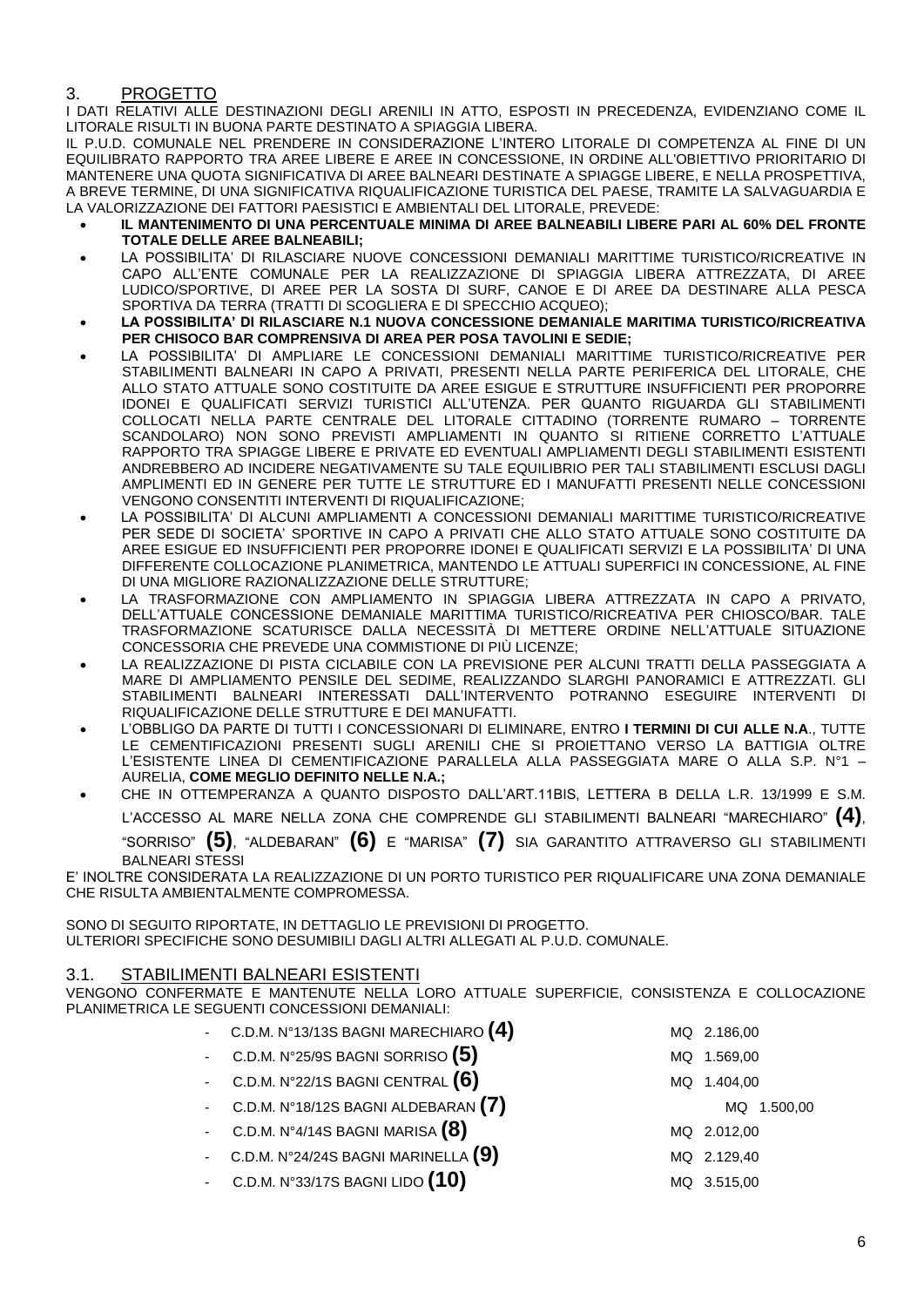# 3. PROGETTO

I DATI RELATIVI ALLE DESTINAZIONI DEGLI ARENILI IN ATTO, ESPOSTI IN PRECEDENZA, EVIDENZIANO COME IL LITORALE RISULTI IN BUONA PARTE DESTINATO A SPIAGGIA LIBERA.

IL P.U.D. COMUNALE NEL PRENDERE IN CONSIDERAZIONE L'INTERO LITORALE DI COMPETENZA AL FINE DI UN EQUILIBRATO RAPPORTO TRA AREE LIBERE E AREE IN CONCESSIONE, IN ORDINE ALL'OBIETTIVO PRIORITARIO DI MANTENERE UNA QUOTA SIGNIFICATIVA DI AREE BALNEARI DESTINATE A SPIAGGE LIBERE, E NELLA PROSPETTIVA, A BREVE TERMINE, DI UNA SIGNIFICATIVA RIQUALIFICAZIONE TURISTICA DEL PAESE, TRAMITE LA SALVAGUARDIA E LA VALORIZZAZIONE DEI FATTORI PAESISTICI E AMBIENTALI DEL LITORALE, PREVEDE:

- **IL MANTENIMENTO DI UNA PERCENTUALE MINIMA DI AREE BALNEABILI LIBERE PARI AL 60% DEL FRONTE TOTALE DELLE AREE BALNEABILI;**
- LA POSSIBILITA' DI RILASCIARE NUOVE CONCESSIONI DEMANIALI MARITTIME TURISTICO/RICREATIVE IN CAPO ALL'ENTE COMUNALE PER LA REALIZZAZIONE DI SPIAGGIA LIBERA ATTREZZATA, DI AREE LUDICO/SPORTIVE, DI AREE PER LA SOSTA DI SURF, CANOE E DI AREE DA DESTINARE ALLA PESCA SPORTIVA DA TERRA (TRATTI DI SCOGLIERA E DI SPECCHIO ACQUEO);
- **LA POSSIBILITA' DI RILASCIARE N.1 NUOVA CONCESSIONE DEMANIALE MARITIMA TURISTICO/RICREATIVA PER CHISOCO BAR COMPRENSIVA DI AREA PER POSA TAVOLINI E SEDIE;**
- LA POSSIBILITA' DI AMPLIARE LE CONCESSIONI DEMANIALI MARITTIME TURISTICO/RICREATIVE PER STABILIMENTI BALNEARI IN CAPO A PRIVATI, PRESENTI NELLA PARTE PERIFERICA DEL LITORALE, CHE ALLO STATO ATTUALE SONO COSTITUITE DA AREE ESIGUE E STRUTTURE INSUFFICIENTI PER PROPORRE IDONEI E QUALIFICATI SERVIZI TURISTICI ALL'UTENZA. PER QUANTO RIGUARDA GLI STABILIMENTI COLLOCATI NELLA PARTE CENTRALE DEL LITORALE CITTADINO (TORRENTE RUMARO – TORRENTE SCANDOLARO) NON SONO PREVISTI AMPLIAMENTI IN QUANTO SI RITIENE CORRETTO L'ATTUALE RAPPORTO TRA SPIAGGE LIBERE E PRIVATE ED EVENTUALI AMPLIAMENTI DEGLI STABILIMENTI ESISTENTI ANDREBBERO AD INCIDERE NEGATIVAMENTE SU TALE EQUILIBRIO PER TALI STABILIMENTI ESCLUSI DAGLI AMPLIMENTI ED IN GENERE PER TUTTE LE STRUTTURE ED I MANUFATTI PRESENTI NELLE CONCESSIONI VENGONO CONSENTITI INTERVENTI DI RIQUALIFICAZIONE;
- LA POSSIBILITA' DI ALCUNI AMPLIAMENTI A CONCESSIONI DEMANIALI MARITTIME TURISTICO/RICREATIVE PER SEDE DI SOCIETA' SPORTIVE IN CAPO A PRIVATI CHE ALLO STATO ATTUALE SONO COSTITUITE DA AREE ESIGUE ED INSUFFICIENTI PER PROPORRE IDONEI E QUALIFICATI SERVIZI E LA POSSIBILITA' DI UNA DIFFERENTE COLLOCAZIONE PLANIMETRICA, MANTENDO LE ATTUALI SUPERFICI IN CONCESSIONE, AL FINE DI UNA MIGLIORE RAZIONALIZZAZIONE DELLE STRUTTURE;
- LA TRASFORMAZIONE CON AMPLIAMENTO IN SPIAGGIA LIBERA ATTREZZATA IN CAPO A PRIVATO, DELL'ATTUALE CONCESSIONE DEMANIALE MARITTIMA TURISTICO/RICREATIVA PER CHIOSCO/BAR. TALE TRASFORMAZIONE SCATURISCE DALLA NECESSITÀ DI METTERE ORDINE NELL'ATTUALE SITUAZIONE CONCESSORIA CHE PREVEDE UNA COMMISTIONE DI PIÙ LICENZE;
- LA REALIZZAZIONE DI PISTA CICLABILE CON LA PREVISIONE PER ALCUNI TRATTI DELLA PASSEGGIATA A MARE DI AMPLIAMENTO PENSILE DEL SEDIME, REALIZZANDO SLARGHI PANORAMICI E ATTREZZATI. GLI STABILIMENTI BALNEARI INTERESSATI DALL'INTERVENTO POTRANNO ESEGUIRE INTERVENTI DI RIQUALIFICAZIONE DELLE STRUTTURE E DEI MANUFATTI.
- L'OBBLIGO DA PARTE DI TUTTI I CONCESSIONARI DI ELIMINARE, ENTRO **I TERMINI DI CUI ALLE N.A**., TUTTE LE CEMENTIFICAZIONI PRESENTI SUGLI ARENILI CHE SI PROIETTANO VERSO LA BATTIGIA OLTRE L'ESISTENTE LINEA DI CEMENTIFICAZIONE PARALLELA ALLA PASSEGGIATA MARE O ALLA S.P. N°1 – AURELIA, **COME MEGLIO DEFINITO NELLE N.A.;**
- CHE IN OTTEMPERANZA A QUANTO DISPOSTO DALL'ART.11BIS, LETTERA B DELLA L.R. 13/1999 E S.M. L'ACCESSO AL MARE NELLA ZONA CHE COMPRENDE GLI STABILIMENTI BALNEARI "MARECHIARO" **(4)**, "SORRISO" **(5)**, "ALDEBARAN" **(6)** E "MARISA" **(7)** SIA GARANTITO ATTRAVERSO GLI STABILIMENTI BALNEARI STESSI

E' INOLTRE CONSIDERATA LA REALIZZAZIONE DI UN PORTO TURISTICO PER RIQUALIFICARE UNA ZONA DEMANIALE CHE RISULTA AMBIENTALMENTE COMPROMESSA.

SONO DI SEGUITO RIPORTATE, IN DETTAGLIO LE PREVISIONI DI PROGETTO. ULTERIORI SPECIFICHE SONO DESUMIBILI DAGLI ALTRI ALLEGATI AL P.U.D. COMUNALE.

# 3.1. STABILIMENTI BALNEARI ESISTENTI

VENGONO CONFERMATE E MANTENUTE NELLA LORO ATTUALE SUPERFICIE, CONSISTENZA E COLLOCAZIONE PLANIMETRICA LE SEGUENTI CONCESSIONI DEMANIALI:

|                             | - C.D.M. N°13/13S BAGNI MARECHIARO $(4)$     |     | MQ 2.186,00    |
|-----------------------------|----------------------------------------------|-----|----------------|
| $\mathcal{L}_{\mathcal{A}}$ | C.D.M. N°25/9S BAGNI SORRISO $\bm{(5)}$      | MQ. | 1.569,00       |
|                             | C.D.M. N°22/1S BAGNI CENTRAL $\bm{(6)}$      | MQ. | 1.404,00       |
|                             | C.D.M. N°18/12S BAGNI ALDEBARAN $(7)$        |     | 1.500,00<br>MQ |
|                             | - C.D.M. $N^{\circ}4/14S$ BAGNI MARISA $(8)$ |     | MQ 2.012,00    |
|                             | - C.D.M. N°24/24S BAGNI MARINELLA $(9)$      |     | MQ 2.129,40    |
| $\mathbb{Z}^2$              | C.D.M. N°33/17S BAGNI LIDO $(10)$            |     | MQ 3.515,00    |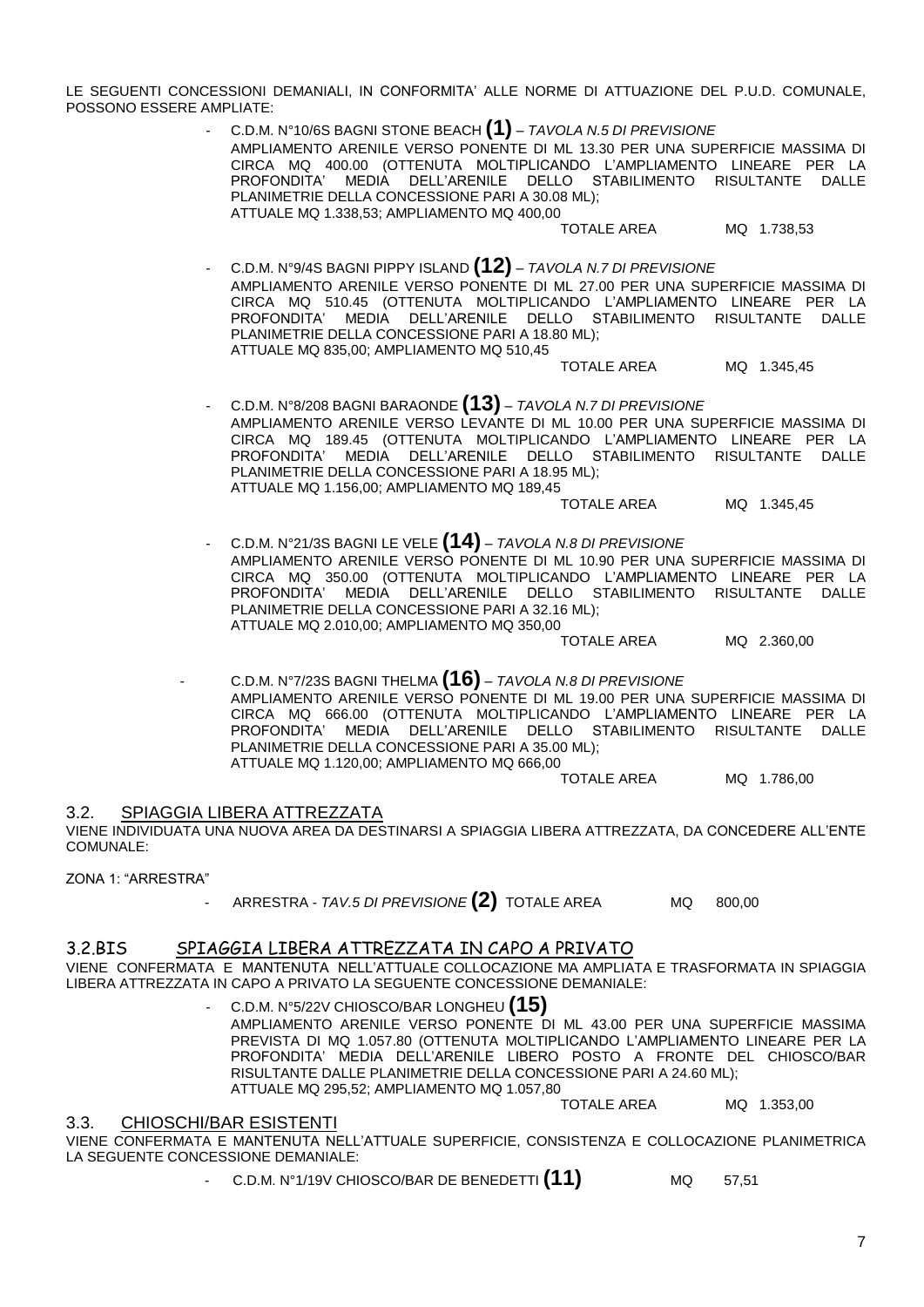LE SEGUENTI CONCESSIONI DEMANIALI, IN CONFORMITA' ALLE NORME DI ATTUAZIONE DEL P.U.D. COMUNALE, POSSONO ESSERE AMPLIATE:

> - C.D.M. N°10/6S BAGNI STONE BEACH **(1)** – *TAVOLA N.5 DI PREVISIONE* AMPLIAMENTO ARENILE VERSO PONENTE DI ML 13.30 PER UNA SUPERFICIE MASSIMA DI CIRCA MQ 400.00 (OTTENUTA MOLTIPLICANDO L'AMPLIAMENTO LINEARE PER LA PROFONDITA' MEDIA DELL'ARENILE DELLO STABILIMENTO RISULTANTE DALLE PLANIMETRIE DELLA CONCESSIONE PARI A 30.08 ML); ATTUALE MQ 1.338,53; AMPLIAMENTO MQ 400,00

TOTALE AREA MQ 1.738,53

- C.D.M. N°9/4S BAGNI PIPPY ISLAND **(12)** – *TAVOLA N.7 DI PREVISIONE* AMPLIAMENTO ARENILE VERSO PONENTE DI ML 27.00 PER UNA SUPERFICIE MASSIMA DI CIRCA MQ 510.45 (OTTENUTA MOLTIPLICANDO L'AMPLIAMENTO LINEARE PER LA PROFONDITA' MEDIA DELL'ARENILE DELLO STABILIMENTO RISULTANTE DALLE PLANIMETRIE DELLA CONCESSIONE PARI A 18.80 ML); ATTUALE MQ 835,00; AMPLIAMENTO MQ 510,45

TOTALE AREA MQ 1.345,45

- C.D.M. N°8/208 BAGNI BARAONDE **(13)** – *TAVOLA N.7 DI PREVISIONE* AMPLIAMENTO ARENILE VERSO LEVANTE DI ML 10.00 PER UNA SUPERFICIE MASSIMA DI CIRCA MQ 189.45 (OTTENUTA MOLTIPLICANDO L'AMPLIAMENTO LINEARE PER LA PROFONDITA' MEDIA DELL'ARENILE DELLO STABILIMENTO RISULTANTE DALLE PLANIMETRIE DELLA CONCESSIONE PARI A 18.95 ML); ATTUALE MQ 1.156,00; AMPLIAMENTO MQ 189,45

TOTALE AREA MO 1.345.45

- C.D.M. N°21/3S BAGNI LE VELE **(14)** – *TAVOLA N.8 DI PREVISIONE* AMPLIAMENTO ARENILE VERSO PONENTE DI ML 10.90 PER UNA SUPERFICIE MASSIMA DI CIRCA MQ 350.00 (OTTENUTA MOLTIPLICANDO L'AMPLIAMENTO LINEARE PER LA PROFONDITA' MEDIA DELL'ARENILE DELLO STABILIMENTO RISULTANTE DALLE PLANIMETRIE DELLA CONCESSIONE PARI A 32.16 ML); ATTUALE MQ 2.010,00; AMPLIAMENTO MQ 350,00

TOTALE AREA MQ 2.360,00

- C.D.M. N°7/23S BAGNI THELMA **(16)** – *TAVOLA N.8 DI PREVISIONE* AMPLIAMENTO ARENILE VERSO PONENTE DI ML 19.00 PER UNA SUPERFICIE MASSIMA DI CIRCA MQ 666.00 (OTTENUTA MOLTIPLICANDO L'AMPLIAMENTO LINEARE PER LA PROFONDITA' MEDIA DELL'ARENILE DELLO STABILIMENTO RISULTANTE DALLE PLANIMETRIE DELLA CONCESSIONE PARI A 35.00 ML); ATTUALE MQ 1.120,00; AMPLIAMENTO MQ 666,00

TOTALE AREA MQ 1.786,00

TOTALE AREA MQ 1.353,00

3.2. SPIAGGIA LIBERA ATTREZZATA

VIENE INDIVIDUATA UNA NUOVA AREA DA DESTINARSI A SPIAGGIA LIBERA ATTREZZATA, DA CONCEDERE ALL'ENTE COMUNALE:

ZONA 1: "ARRESTRA"

- ARRESTRA - *TAV.5 DI PREVISIONE* **(2)** TOTALE AREA MQ 800,00

# 3.2.BIS SPIAGGIA LIBERA ATTREZZATA IN CAPO A PRIVATO

VIENE CONFERMATA E MANTENUTA NELL'ATTUALE COLLOCAZIONE MA AMPLIATA E TRASFORMATA IN SPIAGGIA LIBERA ATTREZZATA IN CAPO A PRIVATO LA SEGUENTE CONCESSIONE DEMANIALE:

> - C.D.M. N°5/22V CHIOSCO/BAR LONGHEU **(15)** AMPLIAMENTO ARENILE VERSO PONENTE DI ML 43.00 PER UNA SUPERFICIE MASSIMA PREVISTA DI MQ 1.057.80 (OTTENUTA MOLTIPLICANDO L'AMPLIAMENTO LINEARE PER LA PROFONDITA' MEDIA DELL'ARENILE LIBERO POSTO A FRONTE DEL CHIOSCO/BAR RISULTANTE DALLE PLANIMETRIE DELLA CONCESSIONE PARI A 24.60 ML); ATTUALE MQ 295,52; AMPLIAMENTO MQ 1.057,80

#### 3.3. CHIOSCHI/BAR ESISTENTI

VIENE CONFERMATA E MANTENUTA NELL'ATTUALE SUPERFICIE, CONSISTENZA E COLLOCAZIONE PLANIMETRICA LA SEGUENTE CONCESSIONE DEMANIALE:

- C.D.M. N°1/19V CHIOSCO/BAR DE BENEDETTI **(11)** MQ 57,51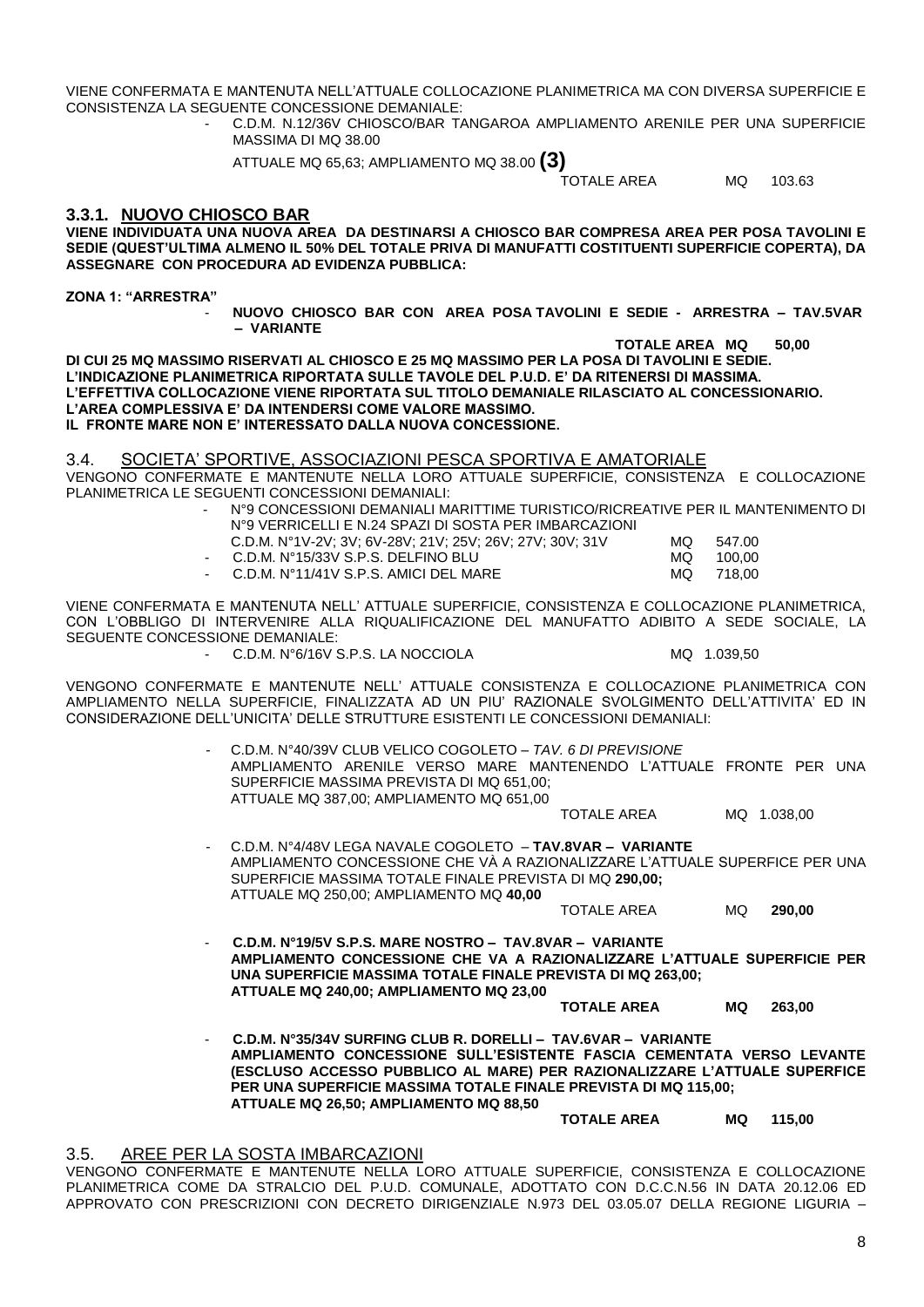VIENE CONFERMATA E MANTENUTA NELL'ATTUALE COLLOCAZIONE PLANIMETRICA MA CON DIVERSA SUPERFICIE E CONSISTENZA LA SEGUENTE CONCESSIONE DEMANIALE:

- C.D.M. N.12/36V CHIOSCO/BAR TANGAROA AMPLIAMENTO ARENILE PER UNA SUPERFICIE MASSIMA DI MQ 38.00

ATTUALE MQ 65,63; AMPLIAMENTO MQ 38.00 **(3)**

TOTALE AREA MQ 103.63

#### **3.3.1. NUOVO CHIOSCO BAR**

**VIENE INDIVIDUATA UNA NUOVA AREA DA DESTINARSI A CHIOSCO BAR COMPRESA AREA PER POSA TAVOLINI E SEDIE (QUEST'ULTIMA ALMENO IL 50% DEL TOTALE PRIVA DI MANUFATTI COSTITUENTI SUPERFICIE COPERTA), DA ASSEGNARE CON PROCEDURA AD EVIDENZA PUBBLICA:**

**ZONA 1: "ARRESTRA"**

- **NUOVO CHIOSCO BAR CON AREA POSA TAVOLINI E SEDIE - ARRESTRA – TAV.5VAR – VARIANTE** 

**TOTALE AREA MQ 50,00 DI CUI 25 MQ MASSIMO RISERVATI AL CHIOSCO E 25 MQ MASSIMO PER LA POSA DI TAVOLINI E SEDIE. L'INDICAZIONE PLANIMETRICA RIPORTATA SULLE TAVOLE DEL P.U.D. E' DA RITENERSI DI MASSIMA. L'EFFETTIVA COLLOCAZIONE VIENE RIPORTATA SUL TITOLO DEMANIALE RILASCIATO AL CONCESSIONARIO. L'AREA COMPLESSIVA E' DA INTENDERSI COME VALORE MASSIMO. IL FRONTE MARE NON E' INTERESSATO DALLA NUOVA CONCESSIONE.**

3.4. SOCIETA' SPORTIVE, ASSOCIAZIONI PESCA SPORTIVA E AMATORIALE

- VENGONO CONFERMATE E MANTENUTE NELLA LORO ATTUALE SUPERFICIE, CONSISTENZA E COLLOCAZIONE PLANIMETRICA LE SEGUENTI CONCESSIONI DEMANIALI:
	- N°9 CONCESSIONI DEMANIALI MARITTIME TURISTICO/RICREATIVE PER IL MANTENIMENTO DI N°9 VERRICELLI E N.24 SPAZI DI SOSTA PER IMBARCAZIONI

| C.D.M. N°1V-2V; 3V; 6V-28V; 21V; 25V; 26V; 27V; 30V; 31V | MQ. | 547.00    |
|----------------------------------------------------------|-----|-----------|
| $\sim$ C.D.M. N°15/33V S.P.S. DELFINO BLU                | MQ  | 100.00    |
| $\sim$ C.D.M. N°11/41V S.P.S. AMICI DEL MARE             |     | MQ 718.00 |

VIENE CONFERMATA E MANTENUTA NELL' ATTUALE SUPERFICIE, CONSISTENZA E COLLOCAZIONE PLANIMETRICA, CON L'OBBLIGO DI INTERVENIRE ALLA RIQUALIFICAZIONE DEL MANUFATTO ADIBITO A SEDE SOCIALE, LA SEGUENTE CONCESSIONE DEMANIALE:

C.D.M. N°6/16V S.P.S. LA NOCCIOLA MQ 1.039,50

VENGONO CONFERMATE E MANTENUTE NELL' ATTUALE CONSISTENZA E COLLOCAZIONE PLANIMETRICA CON AMPLIAMENTO NELLA SUPERFICIE, FINALIZZATA AD UN PIU' RAZIONALE SVOLGIMENTO DELL'ATTIVITA' ED IN CONSIDERAZIONE DELL'UNICITA' DELLE STRUTTURE ESISTENTI LE CONCESSIONI DEMANIALI:

> - C.D.M. N°40/39V CLUB VELICO COGOLETO – *TAV. 6 DI PREVISIONE* AMPLIAMENTO ARENILE VERSO MARE MANTENENDO L'ATTUALE FRONTE PER UNA SUPERFICIE MASSIMA PREVISTA DI MQ 651,00; ATTUALE MQ 387,00; AMPLIAMENTO MQ 651,00

> > TOTALE AREA MQ 1.038,00

- C.D.M. N°4/48V LEGA NAVALE COGOLETO – **TAV.8VAR – VARIANTE** AMPLIAMENTO CONCESSIONE CHE VÀ A RAZIONALIZZARE L'ATTUALE SUPERFICE PER UNA SUPERFICIE MASSIMA TOTALE FINALE PREVISTA DI MQ **290,00;** ATTUALE MQ 250,00; AMPLIAMENTO MQ **40,00**

TOTALE AREA MQ **290,00**

- **C.D.M. N°19/5V S.P.S. MARE NOSTRO – TAV.8VAR – VARIANTE AMPLIAMENTO CONCESSIONE CHE VA A RAZIONALIZZARE L'ATTUALE SUPERFICIE PER UNA SUPERFICIE MASSIMA TOTALE FINALE PREVISTA DI MQ 263,00; ATTUALE MQ 240,00; AMPLIAMENTO MQ 23,00**

**TOTALE AREA MQ 263,00**

- **C.D.M. N°35/34V SURFING CLUB R. DORELLI – TAV.6VAR – VARIANTE AMPLIAMENTO CONCESSIONE SULL'ESISTENTE FASCIA CEMENTATA VERSO LEVANTE (ESCLUSO ACCESSO PUBBLICO AL MARE) PER RAZIONALIZZARE L'ATTUALE SUPERFICE PER UNA SUPERFICIE MASSIMA TOTALE FINALE PREVISTA DI MQ 115,00; ATTUALE MQ 26,50; AMPLIAMENTO MQ 88,50**

**TOTALE AREA MQ 115,00**

# 3.5. AREE PER LA SOSTA IMBARCAZIONI

VENGONO CONFERMATE E MANTENUTE NELLA LORO ATTUALE SUPERFICIE, CONSISTENZA E COLLOCAZIONE PLANIMETRICA COME DA STRALCIO DEL P.U.D. COMUNALE, ADOTTATO CON D.C.C.N.56 IN DATA 20.12.06 ED APPROVATO CON PRESCRIZIONI CON DECRETO DIRIGENZIALE N.973 DEL 03.05.07 DELLA REGIONE LIGURIA –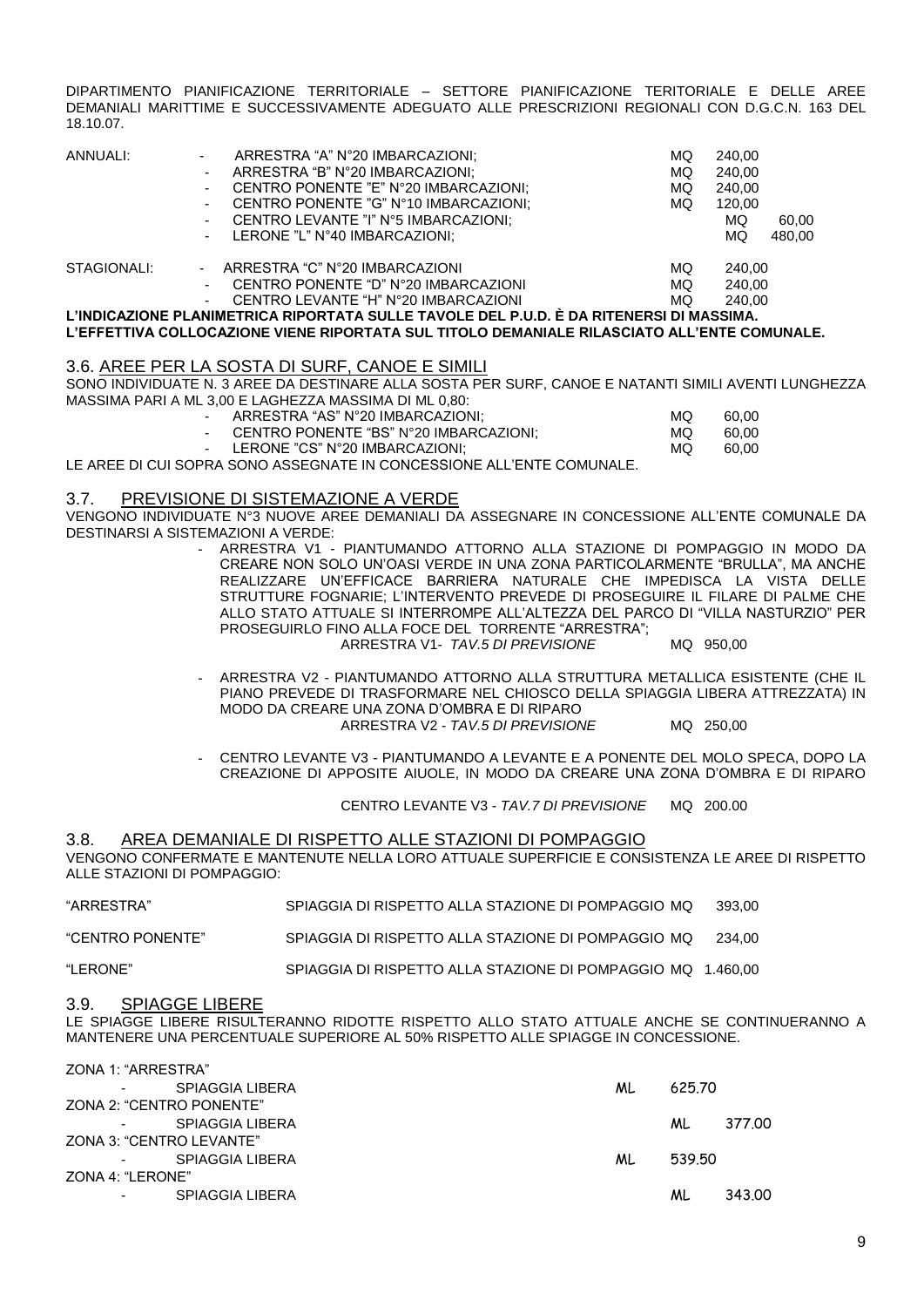DIPARTIMENTO PIANIFICAZIONE TERRITORIALE – SETTORE PIANIFICAZIONE TERITORIALE E DELLE AREE DEMANIALI MARITTIME E SUCCESSIVAMENTE ADEGUATO ALLE PRESCRIZIONI REGIONALI CON D.G.C.N. 163 DEL 18.10.07.

| ANNUALI:                                                                                | $\sim$ | ARRESTRA "A" N°20 IMBARCAZIONI:       | MQ | 240.00 |        |  |
|-----------------------------------------------------------------------------------------|--------|---------------------------------------|----|--------|--------|--|
|                                                                                         |        | ARRESTRA "B" N°20 IMBARCAZIONI;       | MQ | 240,00 |        |  |
|                                                                                         | $\sim$ | CENTRO PONENTE "E" N°20 IMBARCAZIONI; | MQ | 240,00 |        |  |
|                                                                                         | $\sim$ | CENTRO PONENTE "G" N°10 IMBARCAZIONI: | MQ | 120.00 |        |  |
|                                                                                         |        | CENTRO LEVANTE "I" N°5 IMBARCAZIONI;  |    | MQ     | 60,00  |  |
|                                                                                         | $\sim$ | LERONE "L" N°40 IMBARCAZIONI:         |    | MQ     | 480,00 |  |
| STAGIONALI:                                                                             |        | - ARRESTRA "C" N°20 IMBARCAZIONI      | MQ | 240,00 |        |  |
|                                                                                         |        | CENTRO PONENTE "D" N°20 IMBARCAZIONI  | MQ | 240.00 |        |  |
|                                                                                         | $\sim$ | CENTRO LEVANTE "H" N°20 IMBARCAZIONI  | MQ | 240.00 |        |  |
| L'INDICAZIONE PLANIMETRICA RIPORTATA SULLE TAVOLE DEL P.U.D. È DA RITENERSI DI MASSIMA. |        |                                       |    |        |        |  |
|                                                                                         |        |                                       |    |        |        |  |

#### **L'EFFETTIVA COLLOCAZIONE VIENE RIPORTATA SUL TITOLO DEMANIALE RILASCIATO ALL'ENTE COMUNALE.**

#### 3.6. AREE PER LA SOSTA DI SURF, CANOE E SIMILI

SONO INDIVIDUATE N. 3 AREE DA DESTINARE ALLA SOSTA PER SURF, CANOE E NATANTI SIMILI AVENTI LUNGHEZZA MASSIMA PARI A ML 3,00 E LAGHEZZA MASSIMA DI ML 0,80:

| ARRESTRA "AS" N°20 IMBARCAZIONI;         | MQ. | 60.00 |
|------------------------------------------|-----|-------|
| - CENTRO PONENTE "BS" N°20 IMBARCAZIONI: | MQ. | 60.00 |
| LERONE "CS" N°20 IMBARCAZIONI;           | MQ. | 60.00 |

LE AREE DI CUI SOPRA SONO ASSEGNATE IN CONCESSIONE ALL'ENTE COMUNALE.

#### 3.7. PREVISIONE DI SISTEMAZIONE A VERDE

VENGONO INDIVIDUATE N°3 NUOVE AREE DEMANIALI DA ASSEGNARE IN CONCESSIONE ALL'ENTE COMUNALE DA DESTINARSI A SISTEMAZIONI A VERDE:

- ARRESTRA V1 PIANTUMANDO ATTORNO ALLA STAZIONE DI POMPAGGIO IN MODO DA CREARE NON SOLO UN'OASI VERDE IN UNA ZONA PARTICOLARMENTE "BRULLA", MA ANCHE REALIZZARE UN'EFFICACE BARRIERA NATURALE CHE IMPEDISCA LA VISTA DELLE STRUTTURE FOGNARIE; L'INTERVENTO PREVEDE DI PROSEGUIRE IL FILARE DI PALME CHE ALLO STATO ATTUALE SI INTERROMPE ALL'ALTEZZA DEL PARCO DI "VILLA NASTURZIO" PER PROSEGUIRLO FINO ALLA FOCE DEL TORRENTE "ARRESTRA"; ARRESTRA V1- *TAV.5 DI PREVISIONE* MQ 950,00
- ARRESTRA V2 PIANTUMANDO ATTORNO ALLA STRUTTURA METALLICA ESISTENTE (CHE IL PIANO PREVEDE DI TRASFORMARE NEL CHIOSCO DELLA SPIAGGIA LIBERA ATTREZZATA) IN MODO DA CREARE UNA ZONA D'OMBRA E DI RIPARO ARRESTRA V2 - *TAV.5 DI PREVISIONE* MQ 250,00
- CENTRO LEVANTE V3 PIANTUMANDO A LEVANTE E A PONENTE DEL MOLO SPECA, DOPO LA CREAZIONE DI APPOSITE AIUOLE, IN MODO DA CREARE UNA ZONA D'OMBRA E DI RIPARO

CENTRO LEVANTE V3 - *TAV.7 DI PREVISIONE* MQ 200.00

3.8. AREA DEMANIALE DI RISPETTO ALLE STAZIONI DI POMPAGGIO VENGONO CONFERMATE E MANTENUTE NELLA LORO ATTUALE SUPERFICIE E CONSISTENZA LE AREE DI RISPETTO ALLE STAZIONI DI POMPAGGIO:

"ARRESTRA" SPIAGGIA DI RISPETTO ALLA STAZIONE DI POMPAGGIO MQ 393,00

"CENTRO PONENTE" SPIAGGIA DI RISPETTO ALLA STAZIONE DI POMPAGGIO MQ 234,00

"LERONE" SPIAGGIA DI RISPETTO ALLA STAZIONE DI POMPAGGIO MQ 1.460,00

#### 3.9. SPIAGGE LIBERE

LE SPIAGGE LIBERE RISULTERANNO RIDOTTE RISPETTO ALLO STATO ATTUALE ANCHE SE CONTINUERANNO A MANTENERE UNA PERCENTUALE SUPERIORE AL 50% RISPETTO ALLE SPIAGGE IN CONCESSIONE.

| ZONA 1: "ARRESTRA"       |     |        |        |
|--------------------------|-----|--------|--------|
| SPIAGGIA LIBERA          | ML  | 625.70 |        |
| ZONA 2: "CENTRO PONENTE" |     |        |        |
| SPIAGGIA LIBERA          |     | ML.    | 377.00 |
| ZONA 3: "CENTRO LEVANTE" |     |        |        |
| SPIAGGIA LIBERA          | ML. | 539.50 |        |
| ZONA 4: "LERONE"         |     |        |        |
| <b>SPIAGGIA LIBERA</b>   |     | ML     | 343.00 |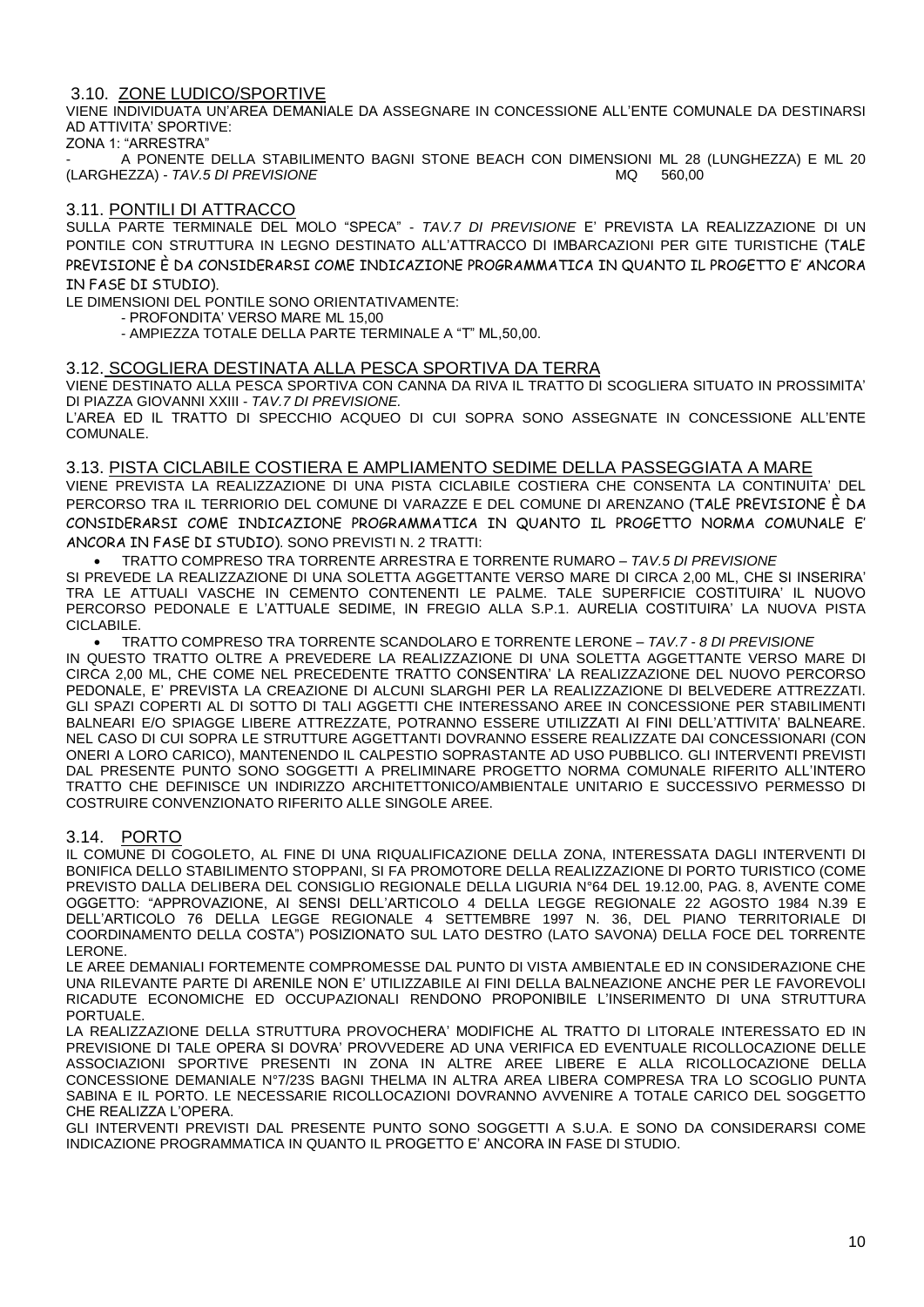#### 3.10. ZONE LUDICO/SPORTIVE

VIENE INDIVIDUATA UN'AREA DEMANIALE DA ASSEGNARE IN CONCESSIONE ALL'ENTE COMUNALE DA DESTINARSI AD ATTIVITA' SPORTIVE:

ZONA 1: "ARRESTRA"

A PONENTE DELLA STABILIMENTO BAGNI STONE BEACH CON DIMENSIONI ML 28 (LUNGHEZZA) E ML 20 (LARGHEZZA) - *TAV.5 DI PREVISIONE* MQ 560,00

#### 3.11. PONTILI DI ATTRACCO

SULLA PARTE TERMINALE DEL MOLO "SPECA" - *TAV.7 DI PREVISIONE* E' PREVISTA LA REALIZZAZIONE DI UN PONTILE CON STRUTTURA IN LEGNO DESTINATO ALL'ATTRACCO DI IMBARCAZIONI PER GITE TURISTICHE (TALE PREVISIONE È DA CONSIDERARSI COME INDICAZIONE PROGRAMMATICA IN QUANTO IL PROGETTO E' ANCORA IN FASE DI STUDIO).

LE DIMENSIONI DEL PONTILE SONO ORIENTATIVAMENTE:

- PROFONDITA' VERSO MARE ML 15,00

- AMPIEZZA TOTALE DELLA PARTE TERMINALE A "T" ML,50,00.

#### 3.12. SCOGLIERA DESTINATA ALLA PESCA SPORTIVA DA TERRA

VIENE DESTINATO ALLA PESCA SPORTIVA CON CANNA DA RIVA IL TRATTO DI SCOGLIERA SITUATO IN PROSSIMITA' DI PIAZZA GIOVANNI XXIII - *TAV.7 DI PREVISIONE.*

L'AREA ED IL TRATTO DI SPECCHIO ACQUEO DI CUI SOPRA SONO ASSEGNATE IN CONCESSIONE ALL'ENTE COMUNALE.

#### 3.13. PISTA CICLABILE COSTIERA E AMPLIAMENTO SEDIME DELLA PASSEGGIATA A MARE

VIENE PREVISTA LA REALIZZAZIONE DI UNA PISTA CICLABILE COSTIERA CHE CONSENTA LA CONTINUITA' DEL PERCORSO TRA IL TERRIORIO DEL COMUNE DI VARAZZE E DEL COMUNE DI ARENZANO (TALE PREVISIONE È DA CONSIDERARSI COME INDICAZIONE PROGRAMMATICA IN QUANTO IL PROGETTO NORMA COMUNALE E' ANCORA IN FASE DI STUDIO). SONO PREVISTI N. 2 TRATTI:

 TRATTO COMPRESO TRA TORRENTE ARRESTRA E TORRENTE RUMARO – *TAV.5 DI PREVISIONE* SI PREVEDE LA REALIZZAZIONE DI UNA SOLETTA AGGETTANTE VERSO MARE DI CIRCA 2,00 ML, CHE SI INSERIRA' TRA LE ATTUALI VASCHE IN CEMENTO CONTENENTI LE PALME. TALE SUPERFICIE COSTITUIRA' IL NUOVO PERCORSO PEDONALE E L'ATTUALE SEDIME, IN FREGIO ALLA S.P.1. AURELIA COSTITUIRA' LA NUOVA PISTA CICLABILE.

 TRATTO COMPRESO TRA TORRENTE SCANDOLARO E TORRENTE LERONE – *TAV.7 - 8 DI PREVISIONE* IN QUESTO TRATTO OLTRE A PREVEDERE LA REALIZZAZIONE DI UNA SOLETTA AGGETTANTE VERSO MARE DI CIRCA 2,00 ML, CHE COME NEL PRECEDENTE TRATTO CONSENTIRA' LA REALIZZAZIONE DEL NUOVO PERCORSO PEDONALE, E' PREVISTA LA CREAZIONE DI ALCUNI SLARGHI PER LA REALIZZAZIONE DI BELVEDERE ATTREZZATI. GLI SPAZI COPERTI AL DI SOTTO DI TALI AGGETTI CHE INTERESSANO AREE IN CONCESSIONE PER STABILIMENTI BALNEARI E/O SPIAGGE LIBERE ATTREZZATE, POTRANNO ESSERE UTILIZZATI AI FINI DELL'ATTIVITA' BALNEARE. NEL CASO DI CUI SOPRA LE STRUTTURE AGGETTANTI DOVRANNO ESSERE REALIZZATE DAI CONCESSIONARI (CON ONERI A LORO CARICO), MANTENENDO IL CALPESTIO SOPRASTANTE AD USO PUBBLICO. GLI INTERVENTI PREVISTI DAL PRESENTE PUNTO SONO SOGGETTI A PRELIMINARE PROGETTO NORMA COMUNALE RIFERITO ALL'INTERO TRATTO CHE DEFINISCE UN INDIRIZZO ARCHITETTONICO/AMBIENTALE UNITARIO E SUCCESSIVO PERMESSO DI COSTRUIRE CONVENZIONATO RIFERITO ALLE SINGOLE AREE.

#### 3.14. PORTO

IL COMUNE DI COGOLETO, AL FINE DI UNA RIQUALIFICAZIONE DELLA ZONA, INTERESSATA DAGLI INTERVENTI DI BONIFICA DELLO STABILIMENTO STOPPANI, SI FA PROMOTORE DELLA REALIZZAZIONE DI PORTO TURISTICO (COME PREVISTO DALLA DELIBERA DEL CONSIGLIO REGIONALE DELLA LIGURIA N°64 DEL 19.12.00, PAG. 8, AVENTE COME OGGETTO: "APPROVAZIONE, AI SENSI DELL'ARTICOLO 4 DELLA LEGGE REGIONALE 22 AGOSTO 1984 N.39 E DELL'ARTICOLO 76 DELLA LEGGE REGIONALE 4 SETTEMBRE 1997 N. 36, DEL PIANO TERRITORIALE DI COORDINAMENTO DELLA COSTA") POSIZIONATO SUL LATO DESTRO (LATO SAVONA) DELLA FOCE DEL TORRENTE LERONE.

LE AREE DEMANIALI FORTEMENTE COMPROMESSE DAL PUNTO DI VISTA AMBIENTALE ED IN CONSIDERAZIONE CHE UNA RILEVANTE PARTE DI ARENILE NON E' UTILIZZABILE AI FINI DELLA BALNEAZIONE ANCHE PER LE FAVOREVOLI RICADUTE ECONOMICHE ED OCCUPAZIONALI RENDONO PROPONIBILE L'INSERIMENTO DI UNA STRUTTURA PORTUALE.

LA REALIZZAZIONE DELLA STRUTTURA PROVOCHERA' MODIFICHE AL TRATTO DI LITORALE INTERESSATO ED IN PREVISIONE DI TALE OPERA SI DOVRA' PROVVEDERE AD UNA VERIFICA ED EVENTUALE RICOLLOCAZIONE DELLE ASSOCIAZIONI SPORTIVE PRESENTI IN ZONA IN ALTRE AREE LIBERE E ALLA RICOLLOCAZIONE DELLA CONCESSIONE DEMANIALE N°7/23S BAGNI THELMA IN ALTRA AREA LIBERA COMPRESA TRA LO SCOGLIO PUNTA SABINA E IL PORTO. LE NECESSARIE RICOLLOCAZIONI DOVRANNO AVVENIRE A TOTALE CARICO DEL SOGGETTO CHE REALIZZA L'OPERA.

GLI INTERVENTI PREVISTI DAL PRESENTE PUNTO SONO SOGGETTI A S.U.A. E SONO DA CONSIDERARSI COME INDICAZIONE PROGRAMMATICA IN QUANTO IL PROGETTO E' ANCORA IN FASE DI STUDIO.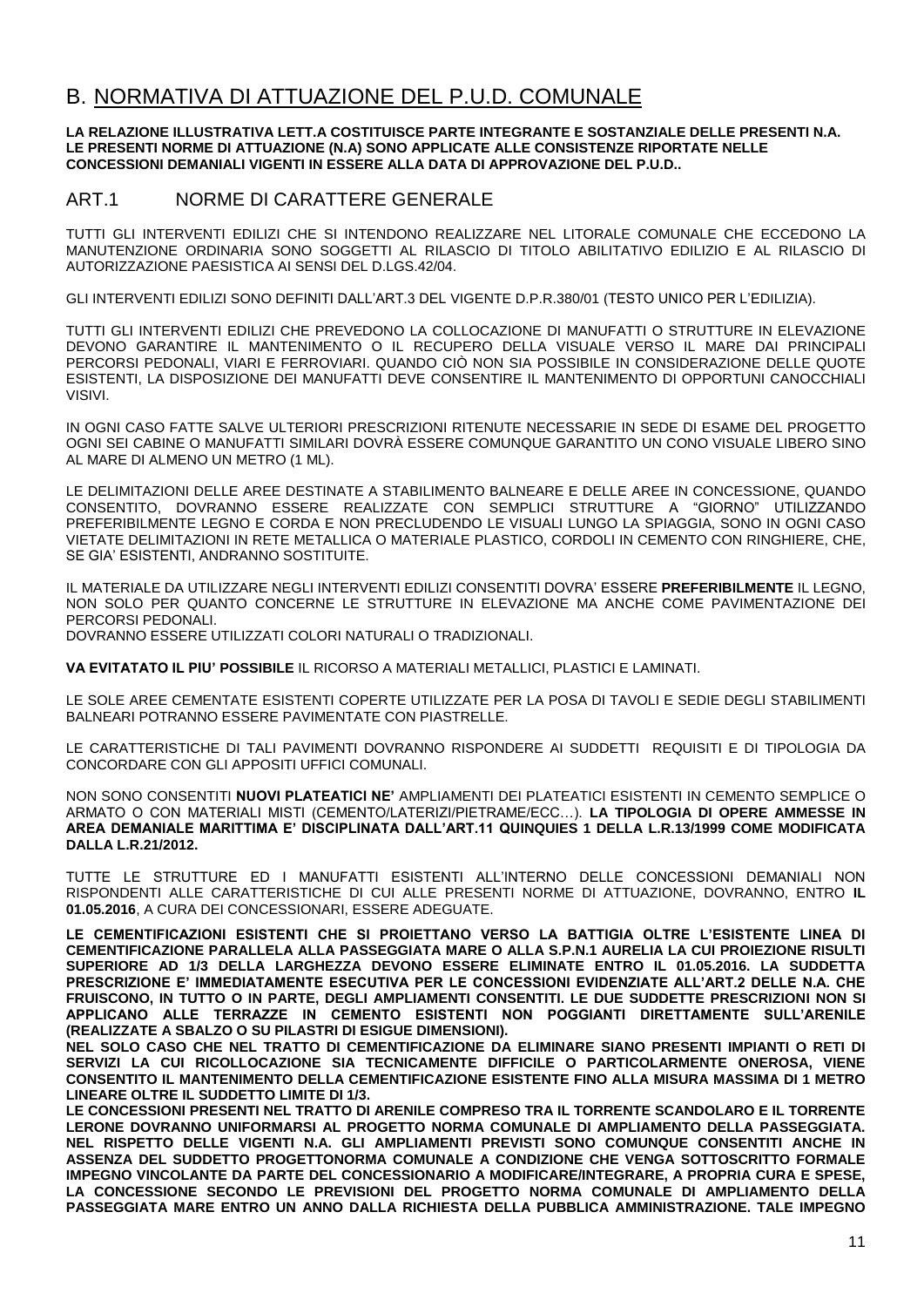# B. NORMATIVA DI ATTUAZIONE DEL P.U.D. COMUNALE

#### **LA RELAZIONE ILLUSTRATIVA LETT.A COSTITUISCE PARTE INTEGRANTE E SOSTANZIALE DELLE PRESENTI N.A. LE PRESENTI NORME DI ATTUAZIONE (N.A) SONO APPLICATE ALLE CONSISTENZE RIPORTATE NELLE CONCESSIONI DEMANIALI VIGENTI IN ESSERE ALLA DATA DI APPROVAZIONE DEL P.U.D..**

# ART.1 NORME DI CARATTERE GENERALE

TUTTI GLI INTERVENTI EDILIZI CHE SI INTENDONO REALIZZARE NEL LITORALE COMUNALE CHE ECCEDONO LA MANUTENZIONE ORDINARIA SONO SOGGETTI AL RILASCIO DI TITOLO ABILITATIVO EDILIZIO E AL RILASCIO DI AUTORIZZAZIONE PAESISTICA AI SENSI DEL D.LGS.42/04.

GLI INTERVENTI EDILIZI SONO DEFINITI DALL'ART.3 DEL VIGENTE D.P.R.380/01 (TESTO UNICO PER L'EDILIZIA).

TUTTI GLI INTERVENTI EDILIZI CHE PREVEDONO LA COLLOCAZIONE DI MANUFATTI O STRUTTURE IN ELEVAZIONE DEVONO GARANTIRE IL MANTENIMENTO O IL RECUPERO DELLA VISUALE VERSO IL MARE DAI PRINCIPALI PERCORSI PEDONALI, VIARI E FERROVIARI. QUANDO CIÒ NON SIA POSSIBILE IN CONSIDERAZIONE DELLE QUOTE ESISTENTI, LA DISPOSIZIONE DEI MANUFATTI DEVE CONSENTIRE IL MANTENIMENTO DI OPPORTUNI CANOCCHIALI VISIVI.

IN OGNI CASO FATTE SALVE ULTERIORI PRESCRIZIONI RITENUTE NECESSARIE IN SEDE DI ESAME DEL PROGETTO OGNI SEI CABINE O MANUFATTI SIMILARI DOVRÀ ESSERE COMUNQUE GARANTITO UN CONO VISUALE LIBERO SINO AL MARE DI ALMENO UN METRO (1 ML).

LE DELIMITAZIONI DELLE AREE DESTINATE A STABILIMENTO BALNEARE E DELLE AREE IN CONCESSIONE, QUANDO CONSENTITO, DOVRANNO ESSERE REALIZZATE CON SEMPLICI STRUTTURE A "GIORNO" UTILIZZANDO PREFERIBILMENTE LEGNO E CORDA E NON PRECLUDENDO LE VISUALI LUNGO LA SPIAGGIA, SONO IN OGNI CASO VIETATE DELIMITAZIONI IN RETE METALLICA O MATERIALE PLASTICO, CORDOLI IN CEMENTO CON RINGHIERE, CHE, SE GIA' ESISTENTI, ANDRANNO SOSTITUITE.

IL MATERIALE DA UTILIZZARE NEGLI INTERVENTI EDILIZI CONSENTITI DOVRA' ESSERE **PREFERIBILMENTE** IL LEGNO, NON SOLO PER QUANTO CONCERNE LE STRUTTURE IN ELEVAZIONE MA ANCHE COME PAVIMENTAZIONE DEI PERCORSI PEDONALI.

DOVRANNO ESSERE UTILIZZATI COLORI NATURALI O TRADIZIONALI.

**VA EVITATATO IL PIU' POSSIBILE** IL RICORSO A MATERIALI METALLICI, PLASTICI E LAMINATI.

LE SOLE AREE CEMENTATE ESISTENTI COPERTE UTILIZZATE PER LA POSA DI TAVOLI E SEDIE DEGLI STABILIMENTI BALNEARI POTRANNO ESSERE PAVIMENTATE CON PIASTRELLE.

LE CARATTERISTICHE DI TALI PAVIMENTI DOVRANNO RISPONDERE AI SUDDETTI REQUISITI E DI TIPOLOGIA DA CONCORDARE CON GLI APPOSITI UFFICI COMUNALI.

NON SONO CONSENTITI **NUOVI PLATEATICI NE'** AMPLIAMENTI DEI PLATEATICI ESISTENTI IN CEMENTO SEMPLICE O ARMATO O CON MATERIALI MISTI (CEMENTO/LATERIZI/PIETRAME/ECC…). **LA TIPOLOGIA DI OPERE AMMESSE IN AREA DEMANIALE MARITTIMA E' DISCIPLINATA DALL'ART.11 QUINQUIES 1 DELLA L.R.13/1999 COME MODIFICATA DALLA L.R.21/2012.**

TUTTE LE STRUTTURE ED I MANUFATTI ESISTENTI ALL'INTERNO DELLE CONCESSIONI DEMANIALI NON RISPONDENTI ALLE CARATTERISTICHE DI CUI ALLE PRESENTI NORME DI ATTUAZIONE, DOVRANNO, ENTRO **IL 01.05.2016**, A CURA DEI CONCESSIONARI, ESSERE ADEGUATE.

**LE CEMENTIFICAZIONI ESISTENTI CHE SI PROIETTANO VERSO LA BATTIGIA OLTRE L'ESISTENTE LINEA DI CEMENTIFICAZIONE PARALLELA ALLA PASSEGGIATA MARE O ALLA S.P.N.1 AURELIA LA CUI PROIEZIONE RISULTI SUPERIORE AD 1/3 DELLA LARGHEZZA DEVONO ESSERE ELIMINATE ENTRO IL 01.05.2016. LA SUDDETTA PRESCRIZIONE E' IMMEDIATAMENTE ESECUTIVA PER LE CONCESSIONI EVIDENZIATE ALL'ART.2 DELLE N.A. CHE FRUISCONO, IN TUTTO O IN PARTE, DEGLI AMPLIAMENTI CONSENTITI. LE DUE SUDDETTE PRESCRIZIONI NON SI APPLICANO ALLE TERRAZZE IN CEMENTO ESISTENTI NON POGGIANTI DIRETTAMENTE SULL'ARENILE (REALIZZATE A SBALZO O SU PILASTRI DI ESIGUE DIMENSIONI).**

**NEL SOLO CASO CHE NEL TRATTO DI CEMENTIFICAZIONE DA ELIMINARE SIANO PRESENTI IMPIANTI O RETI DI SERVIZI LA CUI RICOLLOCAZIONE SIA TECNICAMENTE DIFFICILE O PARTICOLARMENTE ONEROSA, VIENE CONSENTITO IL MANTENIMENTO DELLA CEMENTIFICAZIONE ESISTENTE FINO ALLA MISURA MASSIMA DI 1 METRO LINEARE OLTRE IL SUDDETTO LIMITE DI 1/3.** 

**LE CONCESSIONI PRESENTI NEL TRATTO DI ARENILE COMPRESO TRA IL TORRENTE SCANDOLARO E IL TORRENTE LERONE DOVRANNO UNIFORMARSI AL PROGETTO NORMA COMUNALE DI AMPLIAMENTO DELLA PASSEGGIATA. NEL RISPETTO DELLE VIGENTI N.A. GLI AMPLIAMENTI PREVISTI SONO COMUNQUE CONSENTITI ANCHE IN ASSENZA DEL SUDDETTO PROGETTONORMA COMUNALE A CONDIZIONE CHE VENGA SOTTOSCRITTO FORMALE IMPEGNO VINCOLANTE DA PARTE DEL CONCESSIONARIO A MODIFICARE/INTEGRARE, A PROPRIA CURA E SPESE, LA CONCESSIONE SECONDO LE PREVISIONI DEL PROGETTO NORMA COMUNALE DI AMPLIAMENTO DELLA PASSEGGIATA MARE ENTRO UN ANNO DALLA RICHIESTA DELLA PUBBLICA AMMINISTRAZIONE. TALE IMPEGNO**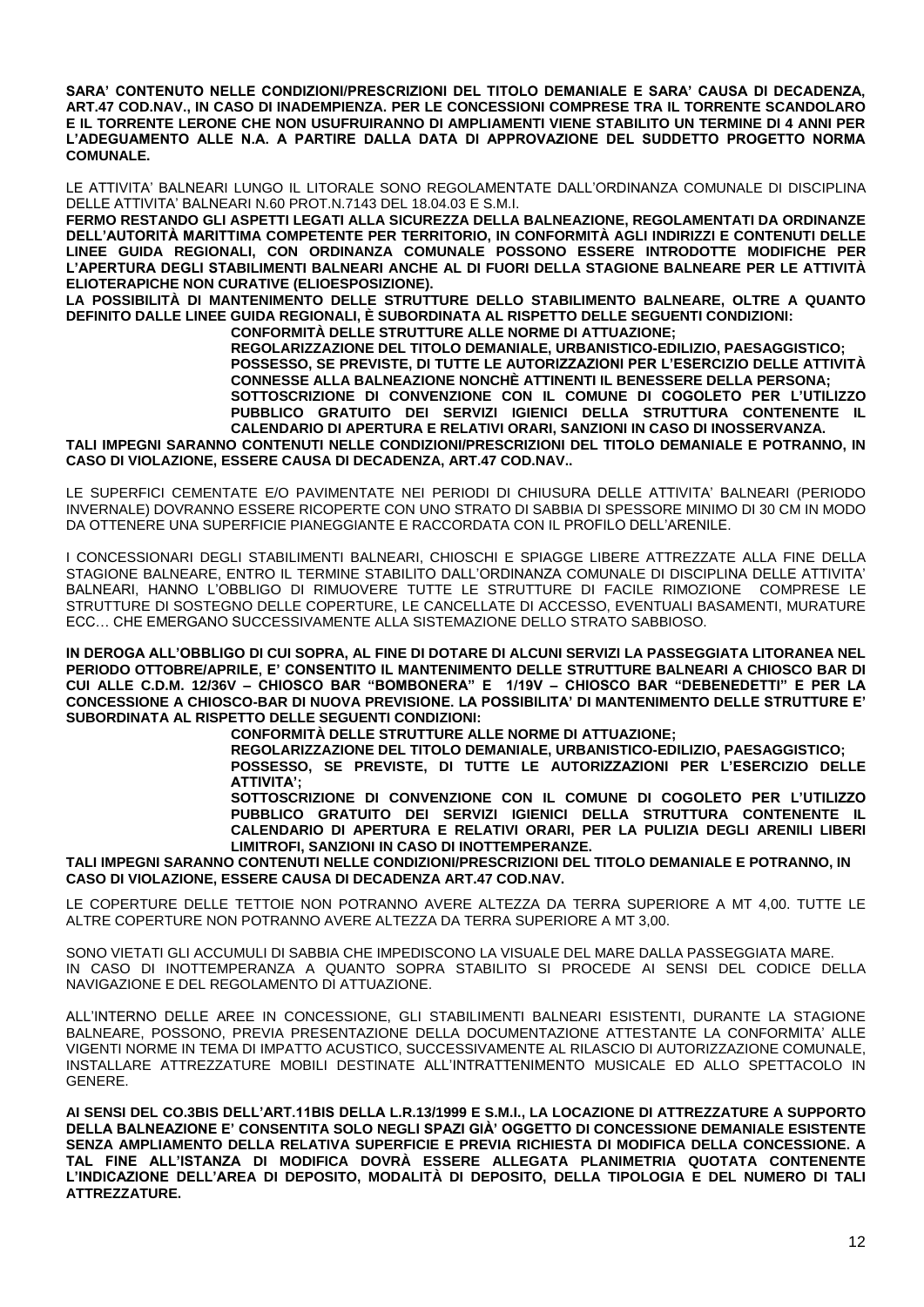**SARA' CONTENUTO NELLE CONDIZIONI/PRESCRIZIONI DEL TITOLO DEMANIALE E SARA' CAUSA DI DECADENZA, ART.47 COD.NAV., IN CASO DI INADEMPIENZA. PER LE CONCESSIONI COMPRESE TRA IL TORRENTE SCANDOLARO E IL TORRENTE LERONE CHE NON USUFRUIRANNO DI AMPLIAMENTI VIENE STABILITO UN TERMINE DI 4 ANNI PER L'ADEGUAMENTO ALLE N.A. A PARTIRE DALLA DATA DI APPROVAZIONE DEL SUDDETTO PROGETTO NORMA COMUNALE.** 

LE ATTIVITA' BALNEARI LUNGO IL LITORALE SONO REGOLAMENTATE DALL'ORDINANZA COMUNALE DI DISCIPLINA DELLE ATTIVITA' BALNEARI N.60 PROT.N.7143 DEL 18.04.03 E S.M.I.

**FERMO RESTANDO GLI ASPETTI LEGATI ALLA SICUREZZA DELLA BALNEAZIONE, REGOLAMENTATI DA ORDINANZE DELL'AUTORITÀ MARITTIMA COMPETENTE PER TERRITORIO, IN CONFORMITÀ AGLI INDIRIZZI E CONTENUTI DELLE LINEE GUIDA REGIONALI, CON ORDINANZA COMUNALE POSSONO ESSERE INTRODOTTE MODIFICHE PER L'APERTURA DEGLI STABILIMENTI BALNEARI ANCHE AL DI FUORI DELLA STAGIONE BALNEARE PER LE ATTIVITÀ ELIOTERAPICHE NON CURATIVE (ELIOESPOSIZIONE).** 

**LA POSSIBILITÀ DI MANTENIMENTO DELLE STRUTTURE DELLO STABILIMENTO BALNEARE, OLTRE A QUANTO DEFINITO DALLE LINEE GUIDA REGIONALI, È SUBORDINATA AL RISPETTO DELLE SEGUENTI CONDIZIONI:** 

**CONFORMITÀ DELLE STRUTTURE ALLE NORME DI ATTUAZIONE;**

**REGOLARIZZAZIONE DEL TITOLO DEMANIALE, URBANISTICO-EDILIZIO, PAESAGGISTICO; POSSESSO, SE PREVISTE, DI TUTTE LE AUTORIZZAZIONI PER L'ESERCIZIO DELLE ATTIVITÀ CONNESSE ALLA BALNEAZIONE NONCHÈ ATTINENTI IL BENESSERE DELLA PERSONA; SOTTOSCRIZIONE DI CONVENZIONE CON IL COMUNE DI COGOLETO PER L'UTILIZZO PUBBLICO GRATUITO DEI SERVIZI IGIENICI DELLA STRUTTURA CONTENENTE IL CALENDARIO DI APERTURA E RELATIVI ORARI, SANZIONI IN CASO DI INOSSERVANZA. TALI IMPEGNI SARANNO CONTENUTI NELLE CONDIZIONI/PRESCRIZIONI DEL TITOLO DEMANIALE E POTRANNO, IN** 

**CASO DI VIOLAZIONE, ESSERE CAUSA DI DECADENZA, ART.47 COD.NAV..**

LE SUPERFICI CEMENTATE E/O PAVIMENTATE NEI PERIODI DI CHIUSURA DELLE ATTIVITA' BALNEARI (PERIODO INVERNALE) DOVRANNO ESSERE RICOPERTE CON UNO STRATO DI SABBIA DI SPESSORE MINIMO DI 30 CM IN MODO DA OTTENERE UNA SUPERFICIE PIANEGGIANTE E RACCORDATA CON IL PROFILO DELL'ARENILE.

I CONCESSIONARI DEGLI STABILIMENTI BALNEARI, CHIOSCHI E SPIAGGE LIBERE ATTREZZATE ALLA FINE DELLA STAGIONE BALNEARE, ENTRO IL TERMINE STABILITO DALL'ORDINANZA COMUNALE DI DISCIPLINA DELLE ATTIVITA' BALNEARI, HANNO L'OBBLIGO DI RIMUOVERE TUTTE LE STRUTTURE DI FACILE RIMOZIONE COMPRESE LE STRUTTURE DI SOSTEGNO DELLE COPERTURE, LE CANCELLATE DI ACCESSO, EVENTUALI BASAMENTI, MURATURE ECC… CHE EMERGANO SUCCESSIVAMENTE ALLA SISTEMAZIONE DELLO STRATO SABBIOSO.

**IN DEROGA ALL'OBBLIGO DI CUI SOPRA, AL FINE DI DOTARE DI ALCUNI SERVIZI LA PASSEGGIATA LITORANEA NEL PERIODO OTTOBRE/APRILE, E' CONSENTITO IL MANTENIMENTO DELLE STRUTTURE BALNEARI A CHIOSCO BAR DI CUI ALLE C.D.M. 12/36V – CHIOSCO BAR "BOMBONERA" E 1/19V – CHIOSCO BAR "DEBENEDETTI" E PER LA CONCESSIONE A CHIOSCO-BAR DI NUOVA PREVISIONE. LA POSSIBILITA' DI MANTENIMENTO DELLE STRUTTURE E' SUBORDINATA AL RISPETTO DELLE SEGUENTI CONDIZIONI:** 

**CONFORMITÀ DELLE STRUTTURE ALLE NORME DI ATTUAZIONE;**

**REGOLARIZZAZIONE DEL TITOLO DEMANIALE, URBANISTICO-EDILIZIO, PAESAGGISTICO; POSSESSO, SE PREVISTE, DI TUTTE LE AUTORIZZAZIONI PER L'ESERCIZIO DELLE ATTIVITA';**

**SOTTOSCRIZIONE DI CONVENZIONE CON IL COMUNE DI COGOLETO PER L'UTILIZZO PUBBLICO GRATUITO DEI SERVIZI IGIENICI DELLA STRUTTURA CONTENENTE IL CALENDARIO DI APERTURA E RELATIVI ORARI, PER LA PULIZIA DEGLI ARENILI LIBERI LIMITROFI, SANZIONI IN CASO DI INOTTEMPERANZE.** 

**TALI IMPEGNI SARANNO CONTENUTI NELLE CONDIZIONI/PRESCRIZIONI DEL TITOLO DEMANIALE E POTRANNO, IN CASO DI VIOLAZIONE, ESSERE CAUSA DI DECADENZA ART.47 COD.NAV.**

LE COPERTURE DELLE TETTOIE NON POTRANNO AVERE ALTEZZA DA TERRA SUPERIORE A MT 4,00. TUTTE LE ALTRE COPERTURE NON POTRANNO AVERE ALTEZZA DA TERRA SUPERIORE A MT 3,00.

SONO VIETATI GLI ACCUMULI DI SABBIA CHE IMPEDISCONO LA VISUALE DEL MARE DALLA PASSEGGIATA MARE. IN CASO DI INOTTEMPERANZA A QUANTO SOPRA STABILITO SI PROCEDE AI SENSI DEL CODICE DELLA NAVIGAZIONE E DEL REGOLAMENTO DI ATTUAZIONE.

ALL'INTERNO DELLE AREE IN CONCESSIONE, GLI STABILIMENTI BALNEARI ESISTENTI, DURANTE LA STAGIONE BALNEARE, POSSONO, PREVIA PRESENTAZIONE DELLA DOCUMENTAZIONE ATTESTANTE LA CONFORMITA' ALLE VIGENTI NORME IN TEMA DI IMPATTO ACUSTICO, SUCCESSIVAMENTE AL RILASCIO DI AUTORIZZAZIONE COMUNALE, INSTALLARE ATTREZZATURE MOBILI DESTINATE ALL'INTRATTENIMENTO MUSICALE ED ALLO SPETTACOLO IN GENERE.

**AI SENSI DEL CO.3BIS DELL'ART.11BIS DELLA L.R.13/1999 E S.M.I., LA LOCAZIONE DI ATTREZZATURE A SUPPORTO DELLA BALNEAZIONE E' CONSENTITA SOLO NEGLI SPAZI GIÀ' OGGETTO DI CONCESSIONE DEMANIALE ESISTENTE SENZA AMPLIAMENTO DELLA RELATIVA SUPERFICIE E PREVIA RICHIESTA DI MODIFICA DELLA CONCESSIONE. A TAL FINE ALL'ISTANZA DI MODIFICA DOVRÀ ESSERE ALLEGATA PLANIMETRIA QUOTATA CONTENENTE L'INDICAZIONE DELL'AREA DI DEPOSITO, MODALITÀ DI DEPOSITO, DELLA TIPOLOGIA E DEL NUMERO DI TALI ATTREZZATURE.**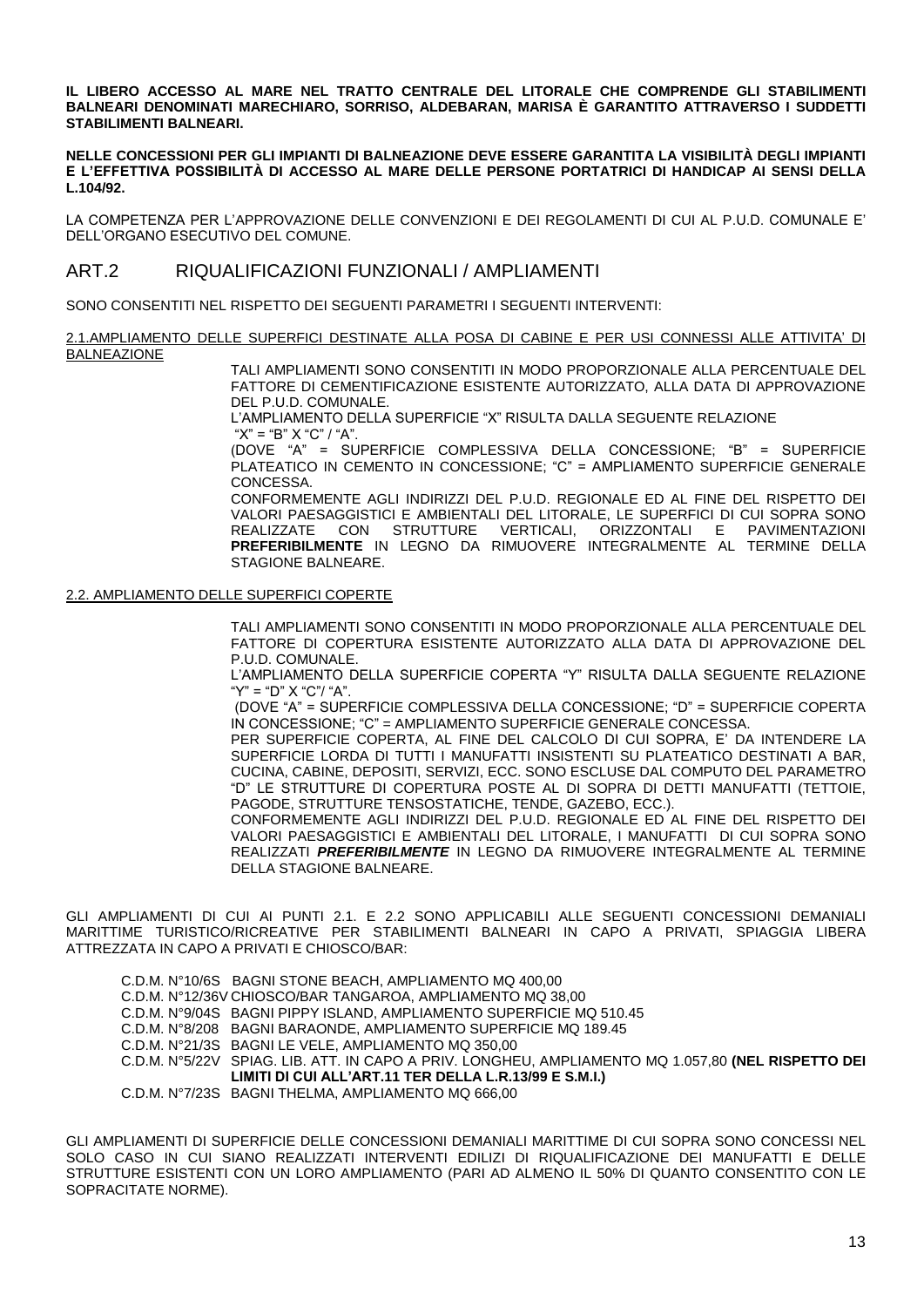**IL LIBERO ACCESSO AL MARE NEL TRATTO CENTRALE DEL LITORALE CHE COMPRENDE GLI STABILIMENTI BALNEARI DENOMINATI MARECHIARO, SORRISO, ALDEBARAN, MARISA È GARANTITO ATTRAVERSO I SUDDETTI STABILIMENTI BALNEARI.**

**NELLE CONCESSIONI PER GLI IMPIANTI DI BALNEAZIONE DEVE ESSERE GARANTITA LA VISIBILITÀ DEGLI IMPIANTI E L'EFFETTIVA POSSIBILITÀ DI ACCESSO AL MARE DELLE PERSONE PORTATRICI DI HANDICAP AI SENSI DELLA L.104/92.**

LA COMPETENZA PER L'APPROVAZIONE DELLE CONVENZIONI E DEI REGOLAMENTI DI CUI AL P.U.D. COMUNALE E' DELL'ORGANO ESECUTIVO DEL COMUNE.

# ART.2 RIQUALIFICAZIONI FUNZIONALI / AMPLIAMENTI

SONO CONSENTITI NEL RISPETTO DEI SEGUENTI PARAMETRI I SEGUENTI INTERVENTI:

2.1.AMPLIAMENTO DELLE SUPERFICI DESTINATE ALLA POSA DI CABINE E PER USI CONNESSI ALLE ATTIVITA' DI BALNEAZIONE

> TALI AMPLIAMENTI SONO CONSENTITI IN MODO PROPORZIONALE ALLA PERCENTUALE DEL FATTORE DI CEMENTIFICAZIONE ESISTENTE AUTORIZZATO, ALLA DATA DI APPROVAZIONE DEL P.U.D. COMUNALE.

L'AMPLIAMENTO DELLA SUPERFICIE "X" RISULTA DALLA SEGUENTE RELAZIONE " $X$ " = " $B$ "  $X$  " $C$ " / " $A$ "

(DOVE "A" = SUPERFICIE COMPLESSIVA DELLA CONCESSIONE; "B" = SUPERFICIE PLATEATICO IN CEMENTO IN CONCESSIONE; "C" = AMPLIAMENTO SUPERFICIE GENERALE CONCESSA.

CONFORMEMENTE AGLI INDIRIZZI DEL P.U.D. REGIONALE ED AL FINE DEL RISPETTO DEI VALORI PAESAGGISTICI E AMBIENTALI DEL LITORALE, LE SUPERFICI DI CUI SOPRA SONO REALIZZATE CON STRUTTURE VERTICALI, ORIZZONTALI E PAVIMENTAZIONI **PREFERIBILMENTE** IN LEGNO DA RIMUOVERE INTEGRALMENTE AL TERMINE DELLA STAGIONE BALNEARE.

#### 2.2. AMPLIAMENTO DELLE SUPERFICI COPERTE

TALI AMPLIAMENTI SONO CONSENTITI IN MODO PROPORZIONALE ALLA PERCENTUALE DEL FATTORE DI COPERTURA ESISTENTE AUTORIZZATO ALLA DATA DI APPROVAZIONE DEL P.U.D. COMUNALE.

L'AMPLIAMENTO DELLA SUPERFICIE COPERTA "Y" RISULTA DALLA SEGUENTE RELAZIONE "Y" = "D" X "C"/ "A".

(DOVE "A" = SUPERFICIE COMPLESSIVA DELLA CONCESSIONE; "D" = SUPERFICIE COPERTA IN CONCESSIONE; "C" = AMPLIAMENTO SUPERFICIE GENERALE CONCESSA.

PER SUPERFICIE COPERTA, AL FINE DEL CALCOLO DI CUI SOPRA, E' DA INTENDERE LA SUPERFICIE LORDA DI TUTTI I MANUFATTI INSISTENTI SU PLATEATICO DESTINATI A BAR, CUCINA, CABINE, DEPOSITI, SERVIZI, ECC. SONO ESCLUSE DAL COMPUTO DEL PARAMETRO "D" LE STRUTTURE DI COPERTURA POSTE AL DI SOPRA DI DETTI MANUFATTI (TETTOIE, PAGODE, STRUTTURE TENSOSTATICHE, TENDE, GAZEBO, ECC.).

CONFORMEMENTE AGLI INDIRIZZI DEL P.U.D. REGIONALE ED AL FINE DEL RISPETTO DEI VALORI PAESAGGISTICI E AMBIENTALI DEL LITORALE, I MANUFATTI DI CUI SOPRA SONO REALIZZATI *PREFERIBILMENTE* IN LEGNO DA RIMUOVERE INTEGRALMENTE AL TERMINE DELLA STAGIONE BALNEARE.

GLI AMPLIAMENTI DI CUI AI PUNTI 2.1. E 2.2 SONO APPLICABILI ALLE SEGUENTI CONCESSIONI DEMANIALI MARITTIME TURISTICO/RICREATIVE PER STABILIMENTI BALNEARI IN CAPO A PRIVATI, SPIAGGIA LIBERA ATTREZZATA IN CAPO A PRIVATI E CHIOSCO/BAR:

C.D.M. N°10/6S BAGNI STONE BEACH, AMPLIAMENTO MQ 400,00 C.D.M. N°12/36V CHIOSCO/BAR TANGAROA, AMPLIAMENTO MQ 38,00 C.D.M. N°9/04S BAGNI PIPPY ISLAND, AMPLIAMENTO SUPERFICIE MQ 510.45 C.D.M. N°8/208 BAGNI BARAONDE, AMPLIAMENTO SUPERFICIE MQ 189.45 C.D.M. N°21/3S BAGNI LE VELE, AMPLIAMENTO MQ 350,00 SPIAG. LIB. ATT. IN CAPO A PRIV. LONGHEU, AMPLIAMENTO MQ 1.057,80 **(NEL RISPETTO DEI LIMITI DI CUI ALL'ART.11 TER DELLA L.R.13/99 E S.M.I.)** C.D.M. N°7/23S BAGNI THELMA, AMPLIAMENTO MQ 666,00

GLI AMPLIAMENTI DI SUPERFICIE DELLE CONCESSIONI DEMANIALI MARITTIME DI CUI SOPRA SONO CONCESSI NEL SOLO CASO IN CUI SIANO REALIZZATI INTERVENTI EDILIZI DI RIQUALIFICAZIONE DEI MANUFATTI E DELLE STRUTTURE ESISTENTI CON UN LORO AMPLIAMENTO (PARI AD ALMENO IL 50% DI QUANTO CONSENTITO CON LE SOPRACITATE NORME).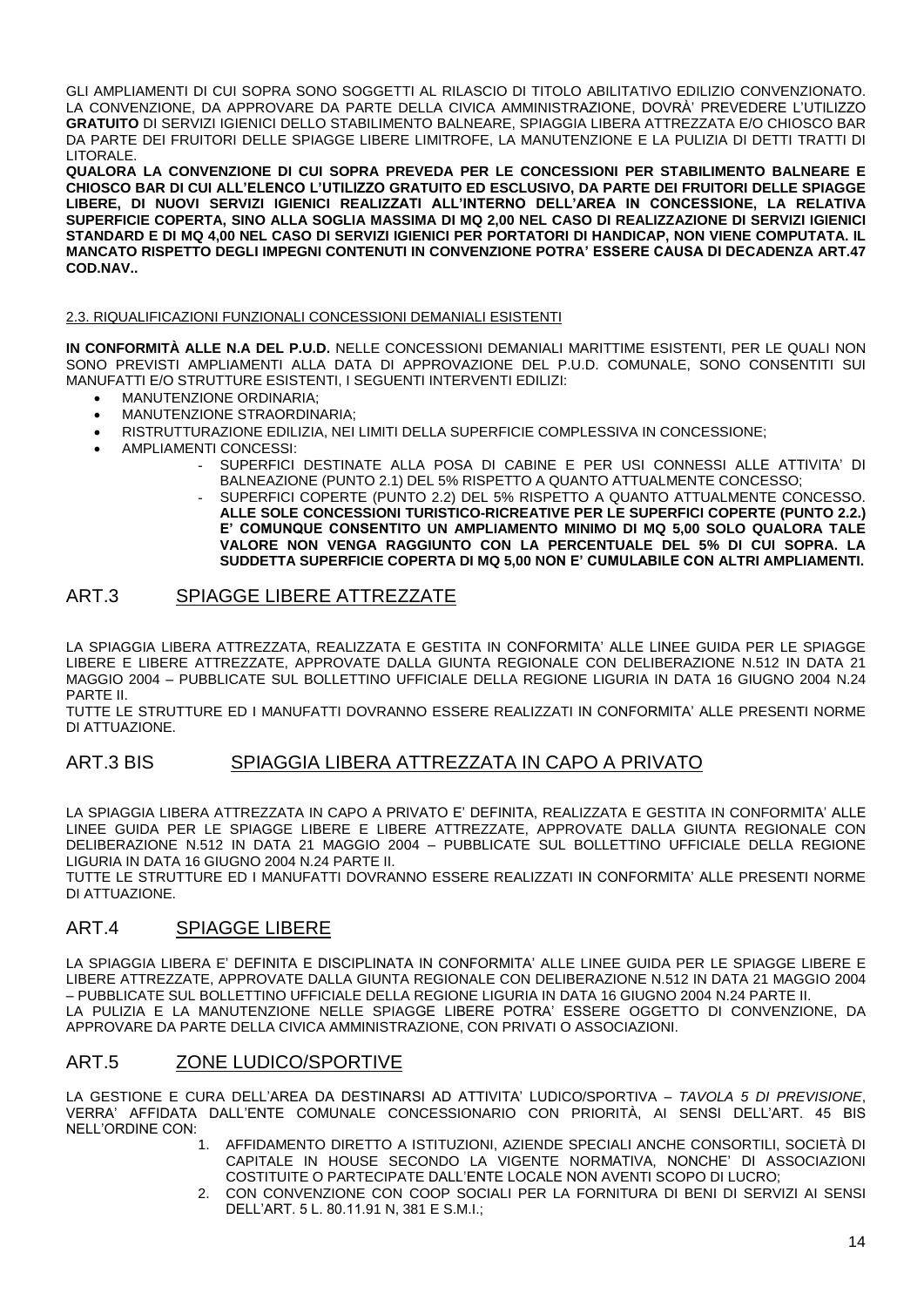GLI AMPLIAMENTI DI CUI SOPRA SONO SOGGETTI AL RILASCIO DI TITOLO ABILITATIVO EDILIZIO CONVENZIONATO. LA CONVENZIONE, DA APPROVARE DA PARTE DELLA CIVICA AMMINISTRAZIONE, DOVRÀ' PREVEDERE L'UTILIZZO **GRATUITO** DI SERVIZI IGIENICI DELLO STABILIMENTO BALNEARE, SPIAGGIA LIBERA ATTREZZATA E/O CHIOSCO BAR DA PARTE DEI FRUITORI DELLE SPIAGGE LIBERE LIMITROFE, LA MANUTENZIONE E LA PULIZIA DI DETTI TRATTI DI LITORALE.

**QUALORA LA CONVENZIONE DI CUI SOPRA PREVEDA PER LE CONCESSIONI PER STABILIMENTO BALNEARE E CHIOSCO BAR DI CUI ALL'ELENCO L'UTILIZZO GRATUITO ED ESCLUSIVO, DA PARTE DEI FRUITORI DELLE SPIAGGE LIBERE, DI NUOVI SERVIZI IGIENICI REALIZZATI ALL'INTERNO DELL'AREA IN CONCESSIONE, LA RELATIVA SUPERFICIE COPERTA, SINO ALLA SOGLIA MASSIMA DI MQ 2,00 NEL CASO DI REALIZZAZIONE DI SERVIZI IGIENICI STANDARD E DI MQ 4,00 NEL CASO DI SERVIZI IGIENICI PER PORTATORI DI HANDICAP, NON VIENE COMPUTATA. IL MANCATO RISPETTO DEGLI IMPEGNI CONTENUTI IN CONVENZIONE POTRA' ESSERE CAUSA DI DECADENZA ART.47 COD.NAV..**

#### 2.3. RIQUALIFICAZIONI FUNZIONALI CONCESSIONI DEMANIALI ESISTENTI

**IN CONFORMITÀ ALLE N.A DEL P.U.D.** NELLE CONCESSIONI DEMANIALI MARITTIME ESISTENTI, PER LE QUALI NON SONO PREVISTI AMPLIAMENTI ALLA DATA DI APPROVAZIONE DEL P.U.D. COMUNALE, SONO CONSENTITI SUI MANUFATTI E/O STRUTTURE ESISTENTI, I SEGUENTI INTERVENTI EDILIZI:

- MANUTENZIONE ORDINARIA;
- MANUTENZIONE STRAORDINARIA;
- RISTRUTTURAZIONE EDILIZIA, NEI LIMITI DELLA SUPERFICIE COMPLESSIVA IN CONCESSIONE;
- AMPLIAMENTI CONCESSI:
	- SUPERFICI DESTINATE ALLA POSA DI CABINE E PER USI CONNESSI ALLE ATTIVITA' DI BALNEAZIONE (PUNTO 2.1) DEL 5% RISPETTO A QUANTO ATTUALMENTE CONCESSO;
	- SUPERFICI COPERTE (PUNTO 2.2) DEL 5% RISPETTO A QUANTO ATTUALMENTE CONCESSO. **ALLE SOLE CONCESSIONI TURISTICO-RICREATIVE PER LE SUPERFICI COPERTE (PUNTO 2.2.) E' COMUNQUE CONSENTITO UN AMPLIAMENTO MINIMO DI MQ 5,00 SOLO QUALORA TALE VALORE NON VENGA RAGGIUNTO CON LA PERCENTUALE DEL 5% DI CUI SOPRA. LA SUDDETTA SUPERFICIE COPERTA DI MQ 5,00 NON E' CUMULABILE CON ALTRI AMPLIAMENTI.**

# ART.3 SPIAGGE LIBERE ATTREZZATE

LA SPIAGGIA LIBERA ATTREZZATA, REALIZZATA E GESTITA IN CONFORMITA' ALLE LINEE GUIDA PER LE SPIAGGE LIBERE E LIBERE ATTREZZATE, APPROVATE DALLA GIUNTA REGIONALE CON DELIBERAZIONE N.512 IN DATA 21 MAGGIO 2004 – PUBBLICATE SUL BOLLETTINO UFFICIALE DELLA REGIONE LIGURIA IN DATA 16 GIUGNO 2004 N.24 PARTE II.

TUTTE LE STRUTTURE ED I MANUFATTI DOVRANNO ESSERE REALIZZATI IN CONFORMITA' ALLE PRESENTI NORME DI ATTUAZIONE.

# ART.3 BIS SPIAGGIA LIBERA ATTREZZATA IN CAPO A PRIVATO

LA SPIAGGIA LIBERA ATTREZZATA IN CAPO A PRIVATO E' DEFINITA, REALIZZATA E GESTITA IN CONFORMITA' ALLE LINEE GUIDA PER LE SPIAGGE LIBERE E LIBERE ATTREZZATE, APPROVATE DALLA GIUNTA REGIONALE CON DELIBERAZIONE N.512 IN DATA 21 MAGGIO 2004 – PUBBLICATE SUL BOLLETTINO UFFICIALE DELLA REGIONE LIGURIA IN DATA 16 GIUGNO 2004 N.24 PARTE II.

TUTTE LE STRUTTURE ED I MANUFATTI DOVRANNO ESSERE REALIZZATI IN CONFORMITA' ALLE PRESENTI NORME DI ATTUAZIONE.

# ART.4 SPIAGGE LIBERE

LA SPIAGGIA LIBERA E' DEFINITA E DISCIPLINATA IN CONFORMITA' ALLE LINEE GUIDA PER LE SPIAGGE LIBERE E LIBERE ATTREZZATE, APPROVATE DALLA GIUNTA REGIONALE CON DELIBERAZIONE N.512 IN DATA 21 MAGGIO 2004 – PUBBLICATE SUL BOLLETTINO UFFICIALE DELLA REGIONE LIGURIA IN DATA 16 GIUGNO 2004 N.24 PARTE II. LA PULIZIA E LA MANUTENZIONE NELLE SPIAGGE LIBERE POTRA' ESSERE OGGETTO DI CONVENZIONE, DA APPROVARE DA PARTE DELLA CIVICA AMMINISTRAZIONE, CON PRIVATI O ASSOCIAZIONI.

# ART.5 ZONE LUDICO/SPORTIVE

LA GESTIONE E CURA DELL'AREA DA DESTINARSI AD ATTIVITA' LUDICO/SPORTIVA – *TAVOLA 5 DI PREVISIONE*, VERRA' AFFIDATA DALL'ENTE COMUNALE CONCESSIONARIO CON PRIORITÀ, AI SENSI DELL'ART. 45 BIS NELL'ORDINE CON:

- 1. AFFIDAMENTO DIRETTO A ISTITUZIONI, AZIENDE SPECIALI ANCHE CONSORTILI, SOCIETÀ DI CAPITALE IN HOUSE SECONDO LA VIGENTE NORMATIVA, NONCHE' DI ASSOCIAZIONI COSTITUITE O PARTECIPATE DALL'ENTE LOCALE NON AVENTI SCOPO DI LUCRO;
- 2. CON CONVENZIONE CON COOP SOCIALI PER LA FORNITURA DI BENI DI SERVIZI AI SENSI DELL'ART. 5 L. 80.11.91 N, 381 E S.M.I.;